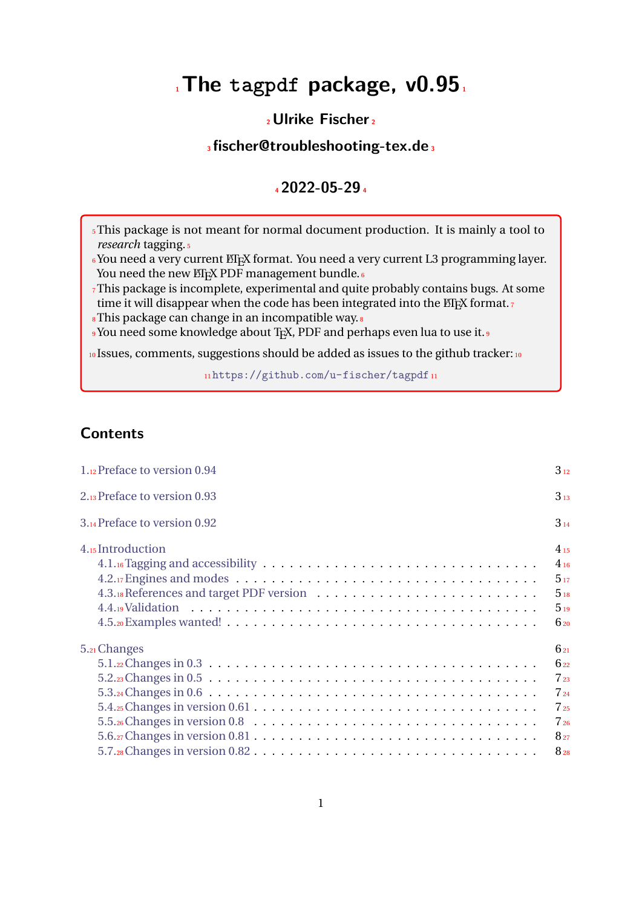# **<sup>1</sup>The tagpdf package, v0.95<sup>1</sup>**

## **<sup>2</sup>Ulrike Fischer<sup>2</sup>**

## **<sup>3</sup>fischer@troubleshooting-tex.de<sup>3</sup>**

## **<sup>4</sup>2022-05-29<sup>4</sup>**

<sup>5</sup>This package is not meant for normal document production. It is mainly a tool to *research* tagging.<sup>5</sup>

6You need a very current ETEX format. You need a very current L3 programming layer. You need the new ETEX PDF management bundle.<sup>6</sup>

<sup>7</sup>This package is incomplete, experimental and quite probably contains bugs. At some time it will disappear when the code has been integrated into the  $E_{F}X$  format. $7$ 

<sup>8</sup>This package can change in an incompatible way.<sup>8</sup>

<sup>9</sup> You need some knowledge about T<sub>E</sub>X, PDF and perhaps even lua to use it.<sup>9</sup>

10 Issues, comments, suggestions should be added as issues to the github tracker: 10

11<https://github.com/u-fischer/tagpdf>11

## **Contents**

| 1.12 Preface to version 0.94                                                                              | $3_{12}$ |
|-----------------------------------------------------------------------------------------------------------|----------|
| 2.13 Preface to version 0.93                                                                              | $3_{13}$ |
| 3.14 Preface to version 0.92                                                                              | $3_{14}$ |
| 4.15 Introduction                                                                                         | $4_{15}$ |
|                                                                                                           | $4_{16}$ |
| $4.2.17$ Engines and modes $\ldots \ldots \ldots \ldots \ldots \ldots \ldots \ldots \ldots \ldots \ldots$ | 517      |
|                                                                                                           | 518      |
|                                                                                                           | 519      |
|                                                                                                           | $6_{20}$ |
| 5.21 Changes                                                                                              | 621      |
|                                                                                                           | 622      |
|                                                                                                           | $7_{23}$ |
|                                                                                                           | $7_{24}$ |
|                                                                                                           | $7_{25}$ |
|                                                                                                           | $7_{26}$ |
|                                                                                                           | $8_{27}$ |
|                                                                                                           | $8_{28}$ |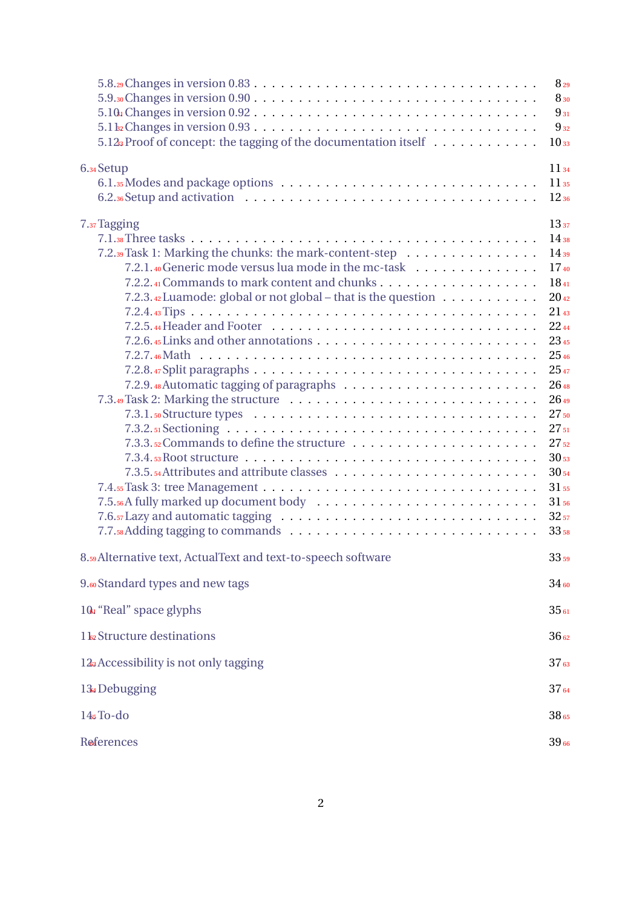| $5.12$ <sub>3</sub> Proof of concept: the tagging of the documentation itself                                                                                                                                                                                                                                                                                                                                                                                                           | $8_{29}$<br>8 30<br>$9_{31}$<br>$9_{32}$<br>10 <sub>33</sub>                                                                                                                                                                                                          |
|-----------------------------------------------------------------------------------------------------------------------------------------------------------------------------------------------------------------------------------------------------------------------------------------------------------------------------------------------------------------------------------------------------------------------------------------------------------------------------------------|-----------------------------------------------------------------------------------------------------------------------------------------------------------------------------------------------------------------------------------------------------------------------|
| 6.34 Setup                                                                                                                                                                                                                                                                                                                                                                                                                                                                              | $11_{34}$<br>$11_{35}$<br>$12_{36}$                                                                                                                                                                                                                                   |
| 7.37 Tagging<br>7.2.39 Task 1: Marking the chunks: the mark-content-step<br>7.2.1. <sub>40</sub> Generic mode versus lua mode in the mc-task $\ldots$ , , ,<br>7.2.3.42 Luamode: global or not global – that is the question $\ldots \ldots \ldots$<br>7.2.6. <sub>45</sub> Links and other annotations $\dots \dots \dots \dots \dots \dots \dots \dots \dots \dots \dots$<br>$7.3.4.$ s Root structure $\ldots \ldots \ldots \ldots \ldots \ldots \ldots \ldots \ldots \ldots \ldots$ | 13 <sub>37</sub><br>$14_{38}$<br>$14_{39}$<br>$17_{40}$<br>$18_{41}$<br>$20_{42}$<br>$21_{43}$<br>2244<br>2345<br>2546<br>2547<br>$26_{48}$<br>$26_{49}$<br>$27_{50}$<br>$27_{51}$<br>$27_{52}$<br>$30_{53}$<br>$30_{54}$<br>31 55<br>31 56<br>$32_{57}$<br>$33_{58}$ |
| 8.59 Alternative text, ActualText and text-to-speech software                                                                                                                                                                                                                                                                                                                                                                                                                           | $33_{59}$                                                                                                                                                                                                                                                             |
| 9.60 Standard types and new tags                                                                                                                                                                                                                                                                                                                                                                                                                                                        | $34_{60}$                                                                                                                                                                                                                                                             |
| 10 <sup>1</sup> "Real" space glyphs                                                                                                                                                                                                                                                                                                                                                                                                                                                     | 3561                                                                                                                                                                                                                                                                  |
| 1 kz Structure destinations                                                                                                                                                                                                                                                                                                                                                                                                                                                             | $36_{62}$                                                                                                                                                                                                                                                             |
| 12 <sup>3</sup> Accessibility is not only tagging                                                                                                                                                                                                                                                                                                                                                                                                                                       | 37 <sub>63</sub>                                                                                                                                                                                                                                                      |
| 13. Debugging                                                                                                                                                                                                                                                                                                                                                                                                                                                                           | 3764                                                                                                                                                                                                                                                                  |
| $145To-do$                                                                                                                                                                                                                                                                                                                                                                                                                                                                              | 38 65                                                                                                                                                                                                                                                                 |
| References                                                                                                                                                                                                                                                                                                                                                                                                                                                                              | 3966                                                                                                                                                                                                                                                                  |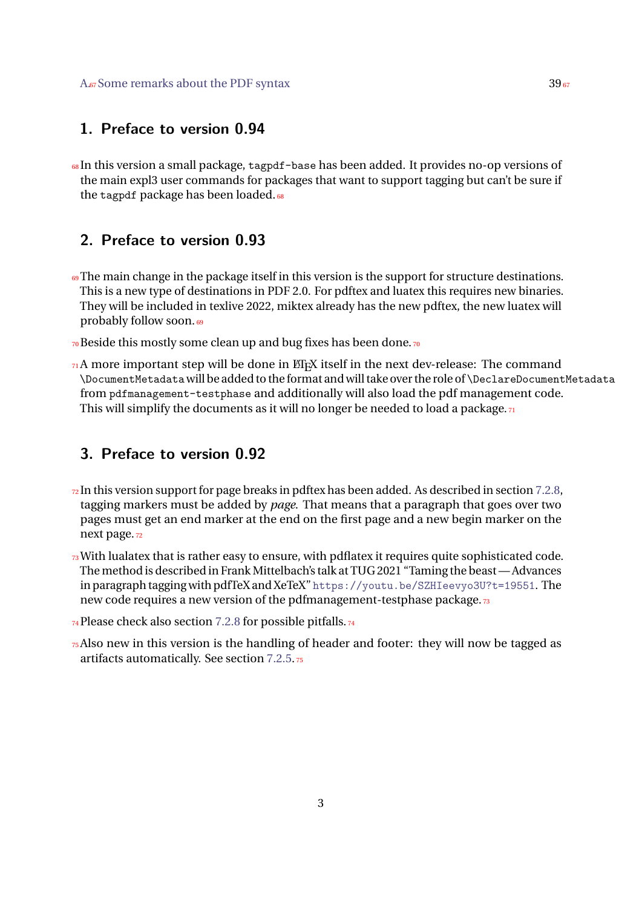### <span id="page-2-0"></span>**1. Preface to version 0.94**

<sup>68</sup> In this version a small package, tagpdf-base has been added. It provides no-op versions of the main expl3 user commands for packages that want to support tagging but can't be sure if the tagpdf package has been loaded.<sup>68</sup>

## <span id="page-2-1"></span>**2. Preface to version 0.93**

- <sup>69</sup>The main change in the package itself in this version is the support for structure destinations. This is a new type of destinations in PDF 2.0. For pdftex and luatex this requires new binaries. They will be included in texlive 2022, miktex already has the new pdftex, the new luatex will probably follow soon.<sup>69</sup>
- 70 Beside this mostly some clean up and bug fixes has been done.70
- $71A$  more important step will be done in ET<sub>E</sub>X itself in the next dev-release: The command \DocumentMetadata will be added to the format andwilltake overthe role of \DeclareDocumentMetadata from pdfmanagement-testphase and additionally will also load the pdf management code. This will simplify the documents as it will no longer be needed to load a package. $\pi$

## <span id="page-2-2"></span>**3. Preface to version 0.92**

- $\frac{1}{2}$ In this version support for page breaks in pdftex has been added. As described in section [7.2.8,](#page-24-1) tagging markers must be added by *page*. That means that a paragraph that goes over two pages must get an end marker at the end on the first page and a new begin marker on the next page.<sub>72</sub>
- $73$  With lualatex that is rather easy to ensure, with pdflatex it requires quite sophisticated code. The method is described in Frank Mittelbach's talk at TUG 2021 "Taming the beast — Advances in paragraph tagging with pdfTeX and XeTeX" <https://youtu.be/SZHIeevyo3U?t=19551>. The new code requires a new version of the pdfmanagement-testphase package.73
- 74 Please check also section [7.2.8](#page-24-1) for possible pitfalls. 74
- $\tau_5$ Also new in this version is the handling of header and footer: they will now be tagged as artifacts automatically. See section [7.2.5.](#page-21-0)<sup>75</sup>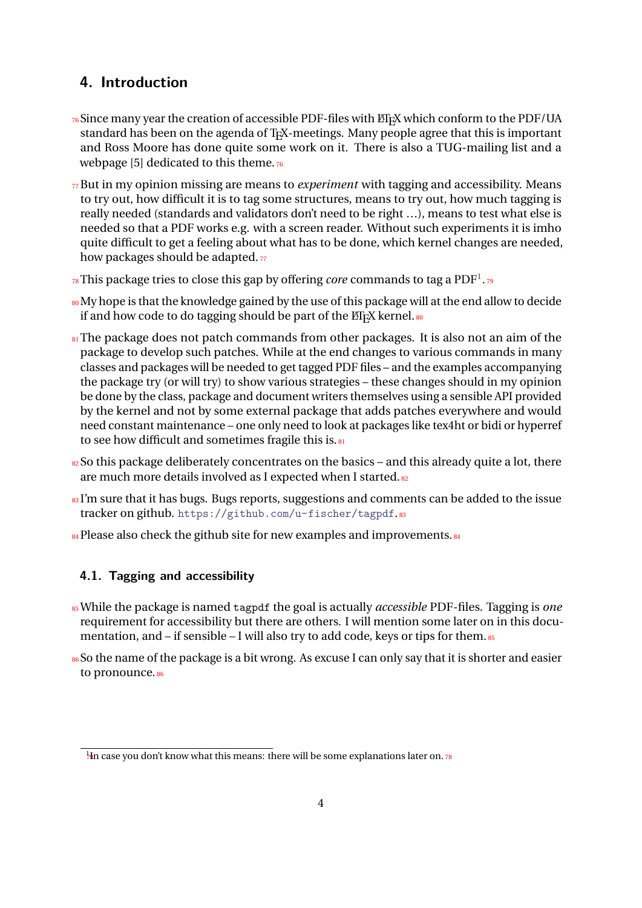## <span id="page-3-0"></span>**4. Introduction**

- $76$ Since many year the creation of accessible PDF-files with  $\text{MF}X$  which conform to the PDF/UA standard has been on the agenda of T<sub>E</sub>X-meetings. Many people agree that this is important and Ross Moore has done quite some work on it. There is also a TUG-mailing list and a webpage [5] dedicated to this theme. $76$
- <sup>77</sup>But in my opinion missing are means to *experiment* with tagging and accessibility. Means to try out, how difficult it is to tag some structures, means to try out, how much tagging is really needed (standards and validators don't need to be right …), means to test what else is needed so that a PDF works e.g. with a screen reader. Without such experiments it is imho quite difficult to get a feeling about what has to be done, which kernel changes are needed, how packages should be adapted. $77$
- $78\,\mathrm{This}\, \mathrm{package}\, \mathrm{tries}\, \mathrm{to}\, \mathrm{close}\, \mathrm{this}\, \mathrm{gap}\, \mathrm{by}\, \mathrm{offering}\, \mathrm{core}\, \mathrm{comm} \mathrm{and}\, \mathrm{to}\, \mathrm{tag}\, \mathrm{a}\, \mathrm{PDF}^1.\, \mathrm{true}$  $78\,\mathrm{This}\, \mathrm{package}\, \mathrm{tries}\, \mathrm{to}\, \mathrm{close}\, \mathrm{this}\, \mathrm{gap}\, \mathrm{by}\, \mathrm{offering}\, \mathrm{core}\, \mathrm{comm} \mathrm{and}\, \mathrm{to}\, \mathrm{tag}\, \mathrm{a}\, \mathrm{PDF}^1.\, \mathrm{true}$  $78\,\mathrm{This}\, \mathrm{package}\, \mathrm{tries}\, \mathrm{to}\, \mathrm{close}\, \mathrm{this}\, \mathrm{gap}\, \mathrm{by}\, \mathrm{offering}\, \mathrm{core}\, \mathrm{comm} \mathrm{and}\, \mathrm{to}\, \mathrm{tag}\, \mathrm{a}\, \mathrm{PDF}^1.\, \mathrm{true}$
- 80 My hope is that the knowledge gained by the use of this package will at the end allow to decide if and how code to do tagging should be part of the  $EIF(X)$  kernel.  $80$
- 81 at The package does not patch commands from other packages. It is also not an aim of the package to develop such patches. While at the end changes to various commands in many classes and packages will be needed to get tagged PDF files – and the examples accompanying the package try (or will try) to show various strategies – these changes should in my opinion be done by the class, package and document writers themselves using a sensible API provided by the kernel and not by some external package that adds patches everywhere and would need constant maintenance – one only need to look at packages like tex4ht or bidi or hyperref to see how difficult and sometimes fragile this is.
- $82$  So this package deliberately concentrates on the basics and this already quite a lot, there are much more details involved as I expected when I started. 82
- 83I'm sure that it has bugs. Bugs reports, suggestions and comments can be added to the issue tracker on github. <https://github.com/u-fischer/tagpdf>.83
- 84 Please also check the github site for new examples and improvements.

### <span id="page-3-1"></span>**4.1. Tagging and accessibility**

- <sup>85</sup>While the package is named tagpdf the goal is actually *accessible* PDF-files. Tagging is *one* requirement for accessibility but there are others. I will mention some later on in this documentation, and – if sensible – I will also try to add code, keys or tips for them. 85
- 86So the name of the package is a bit wrong. As excuse I can only say that it is shorter and easier to pronounce. 86

<span id="page-3-2"></span> $\frac{1}{4}$ In case you don't know what this means: there will be some explanations later on. 78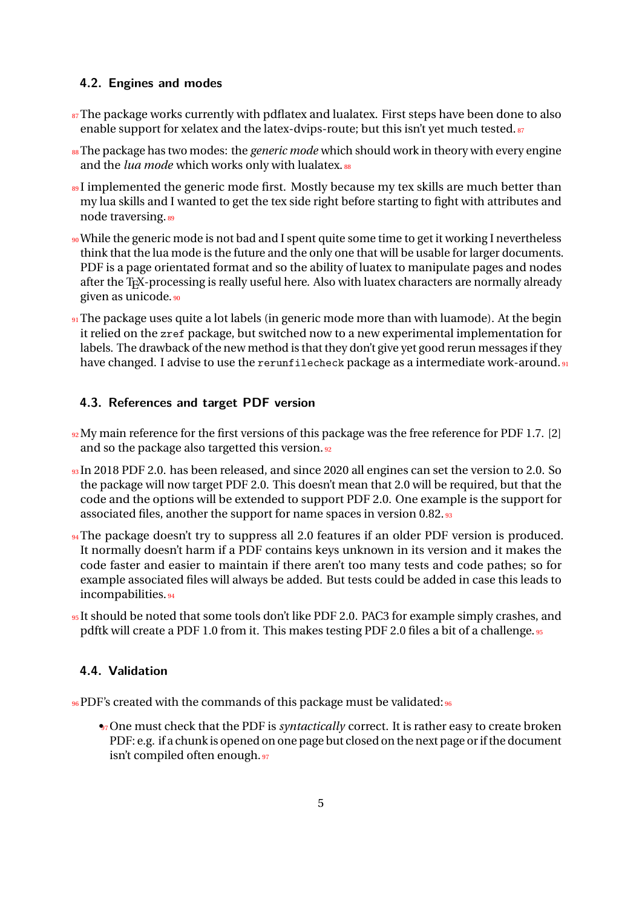### <span id="page-4-0"></span>**4.2. Engines and modes**

- $\frac{87}{2}$ The package works currently with pdflatex and lualatex. First steps have been done to also enable support for xelatex and the latex-dvips-route; but this isn't yet much tested.<sup>87</sup>
- <sup>88</sup>The package has two modes: the *generic mode* which should work in theory with every engine and the *lua mode* which works only with lualatex.<sup>88</sup>
- <sup>89</sup>I implemented the generic mode first. Mostly because my tex skills are much better than my lua skills and I wanted to get the tex side right before starting to fight with attributes and node traversing. 89
- <sup>90</sup> While the generic mode is not bad and I spent quite some time to get it working I nevertheless think that the lua mode is the future and the only one that will be usable for larger documents. PDF is a page orientated format and so the ability of luatex to manipulate pages and nodes after the T<sub>E</sub>X-processing is really useful here. Also with luatex characters are normally already given as unicode.<sup>90</sup>
- 91 The package uses quite a lot labels (in generic mode more than with luamode). At the begin it relied on the zref package, but switched now to a new experimental implementation for labels. The drawback of the new method is that they don't give yet good rerun messages if they have changed. I advise to use the rerunfilecheck package as a intermediate work-around.<sup>91</sup>

### <span id="page-4-1"></span>**4.3. References and target PDF version**

- 92 My main reference for the first versions of this package was the free reference for PDF 1.7. [2] and so the package also targetted this version. 92
- 93 In 2018 PDF 2.0. has been released, and since 2020 all engines can set the version to 2.0. So the package will now target PDF 2.0. This doesn't mean that 2.0 will be required, but that the code and the options will be extended to support PDF 2.0. One example is the support for associated files, another the support for name spaces in version 0.82.<sup>93</sup>
- 94 The package doesn't try to suppress all 2.0 features if an older PDF version is produced. It normally doesn't harm if a PDF contains keys unknown in its version and it makes the code faster and easier to maintain if there aren't too many tests and code pathes; so for example associated files will always be added. But tests could be added in case this leads to incompabilities.<sup>94</sup>
- <sup>95</sup>It should be noted that some tools don't like PDF 2.0. PAC3 for example simply crashes, and pdftk will create a PDF 1.0 from it. This makes testing PDF 2.0 files a bit of a challenge. 95

### <span id="page-4-2"></span>**4.4. Validation**

- 96 PDF's created with the commands of this package must be validated: 96
	- •<sup>7</sup> One must check that the PDF is *syntactically* correct. It is rather easy to create broken PDF: e.g. if a chunk is opened on one page but closed on the next page or if the document isn't compiled often enough.<sup>97</sup>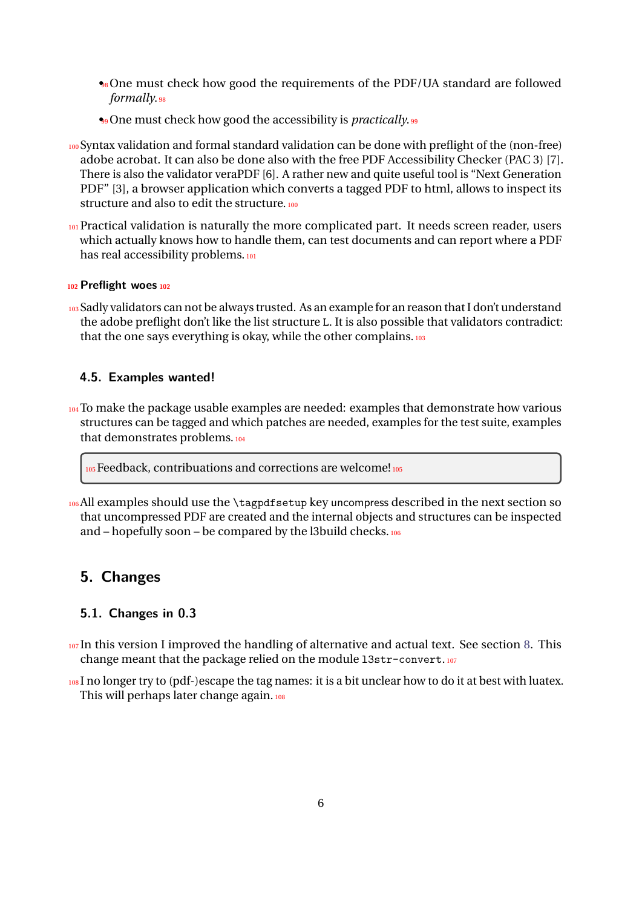- •<sup>88</sup> One must check how good the requirements of the PDF/UA standard are followed *formally*.<sup>98</sup>
- •<sup>99</sup> One must check how good the accessibility is *practically*.
- <sup>100</sup>Syntax validation and formal standard validation can be done with preflight of the (non-free) adobe acrobat. It can also be done also with the free PDF Accessibility Checker (PAC 3) [7]. There is also the validator veraPDF [6]. A rather new and quite useful tool is "Next Generation PDF" [3], a browser application which converts a tagged PDF to html, allows to inspect its structure and also to edit the structure.<sup>100</sup>
- 101 Practical validation is naturally the more complicated part. It needs screen reader, users which actually knows how to handle them, can test documents and can report where a PDF has real accessibility problems.<sup>101</sup>

#### **<sup>102</sup>Preflight woes<sup>102</sup>**

103 Sadly validators can not be always trusted. As an example for an reason that I don't understand the adobe preflight don't like the list structure L. It is also possible that validators contradict: that the one says everything is okay, while the other complains. 103

#### <span id="page-5-0"></span>**4.5. Examples wanted!**

104 To make the package usable examples are needed: examples that demonstrate how various structures can be tagged and which patches are needed, examples for the test suite, examples that demonstrates problems.<sup>104</sup>

105 Feedback, contribuations and corrections are welcome! 105

106All examples should use the \tagpdfsetup key uncompress described in the next section so that uncompressed PDF are created and the internal objects and structures can be inspected and – hopefully soon – be compared by the l3build checks.<sup>106</sup>

### <span id="page-5-1"></span>**5. Changes**

### <span id="page-5-2"></span>**5.1. Changes in 0.3**

- 107 In this version I improved the handling of alternative and actual text. See section [8.](#page-32-1) This change meant that the package relied on the module 13str-convert.107
- 108 I no longer try to (pdf-)escape the tag names: it is a bit unclear how to do it at best with luatex. This will perhaps later change again.<sup>108</sup>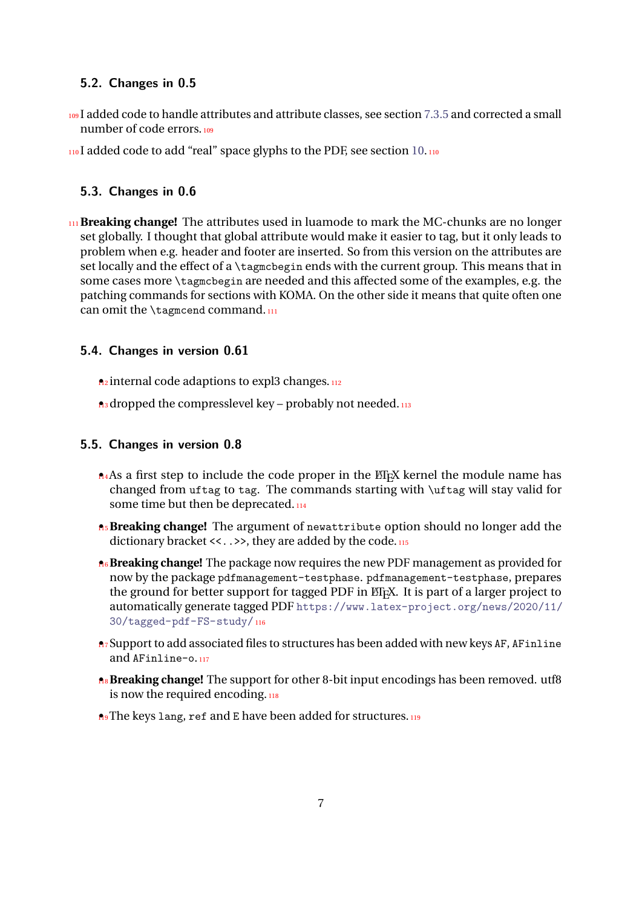### <span id="page-6-0"></span>**5.2. Changes in 0.5**

109 I added code to handle attributes and attribute classes, see section [7.3.5](#page-29-1) and corrected a small number of code errors.<sup>109</sup>

110I added code to add "real" space glyphs to the PDF, see section [10.](#page-34-0)110

### <span id="page-6-1"></span>**5.3. Changes in 0.6**

<sup>111</sup>**Breaking change!** The attributes used in luamode to mark the MC-chunks are no longer set globally. I thought that global attribute would make it easier to tag, but it only leads to problem when e.g. header and footer are inserted. So from this version on the attributes are set locally and the effect of a \tagmcbegin ends with the current group. This means that in some cases more \tagmcbegin are needed and this affected some of the examples, e.g. the patching commands for sections with KOMA. On the other side it means that quite often one can omit the \tagmcend command.111

### <span id="page-6-2"></span>**5.4. Changes in version 0.61**

 $n_2$  internal code adaptions to expl3 changes.  $n_2$ 

 $\mathbf{h}_3$  dropped the compresslevel key – probably not needed.  $\mathbf{h}_3$ 

### <span id="page-6-3"></span>**5.5. Changes in version 0.8**

- $\Lambda$ 4As a first step to include the code proper in the ET<sub>E</sub>X kernel the module name has changed from uftag to tag. The commands starting with \uftag will stay valid for some time but then be deprecated.<sup>114</sup>
- **A<sub>5</sub> Breaking change!** The argument of newattribute option should no longer add the dictionary bracket <<...>>, they are added by the code.
- **16 Breaking change!** The package now requires the new PDF management as provided for now by the package pdfmanagement-testphase. pdfmanagement-testphase, prepares the ground for better support for tagged PDF in  $E/FX$ . It is part of a larger project to automatically generate tagged PDF [https://www.latex-project.org/news/2020/11/](https://www.latex-project.org/news/2020/11/30/tagged-pdf-FS-study/) [30/tagged-pdf-FS-study/](https://www.latex-project.org/news/2020/11/30/tagged-pdf-FS-study/)<sup>116</sup>
- **n**<sub>7</sub> Support to add associated files to structures has been added with new keys AF, AFinline and AFinline-o.<sup>117</sup>
- **Breaking change!** The support for other 8-bit input encodings has been removed. utf8 is now the required encoding.
- **n**<sup>9</sup> The keys lang, ref and E have been added for structures.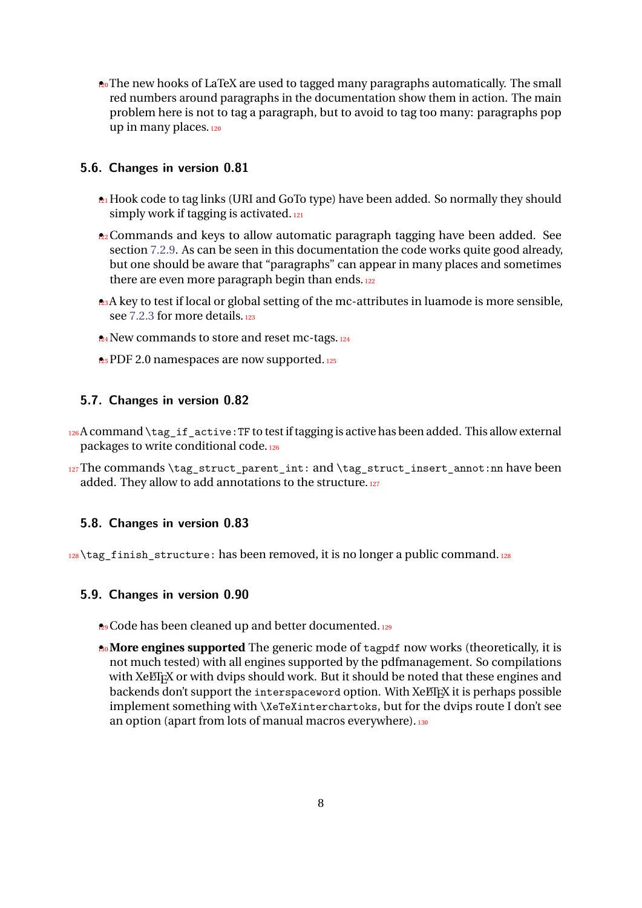$20$ • The new hooks of LaTeX are used to tagged many paragraphs automatically. The small red numbers around paragraphs in the documentation show them in action. The main problem here is not to tag a paragraph, but to avoid to tag too many: paragraphs pop up in many places.<sup>120</sup>

### <span id="page-7-0"></span>**5.6. Changes in version 0.81**

- **21** Hook code to tag links (URI and GoTo type) have been added. So normally they should simply work if tagging is activated.<sup>121</sup>
- $22$  Commands and keys to allow automatic paragraph tagging have been added. See section [7.2.9.](#page-25-0) As can be seen in this documentation the code works quite good already, but one should be aware that "paragraphs" can appear in many places and sometimes there are even more paragraph begin than ends.<sup>122</sup>
- $2.3A$  key to test if local or global setting of the mc-attributes in luamode is more sensible, see [7.2.3](#page-19-0) for more details.<sup>123</sup>
- **24** New commands to store and reset mc-tags. 124
- **25** PDF 2.0 namespaces are now supported.

### <span id="page-7-1"></span>**5.7. Changes in version 0.82**

- $126A$  command  $\text{tag}$  if active: TF to test if tagging is active has been added. This allow external packages to write conditional code.<sup>126</sup>
- 127The commands \tag\_struct\_parent\_int: and \tag\_struct\_insert\_annot:nn have been added. They allow to add annotations to the structure.<sup>127</sup>

### <span id="page-7-2"></span>**5.8. Changes in version 0.83**

128\tag\_finish\_structure: has been removed, it is no longer a public command.128

#### <span id="page-7-3"></span>**5.9. Changes in version 0.90**

- **29** Code has been cleaned up and better documented.
- **More engines supported** The generic mode of tagpdf now works (theoretically, it is not much tested) with all engines supported by the pdfmanagement. So compilations with XeLT<sub>E</sub>X or with dvips should work. But it should be noted that these engines and backends don't support the interspaceword option. With XeLT<sub>E</sub>X it is perhaps possible implement something with \XeTeXinterchartoks, but for the dvips route I don't see an option (apart from lots of manual macros everywhere). 130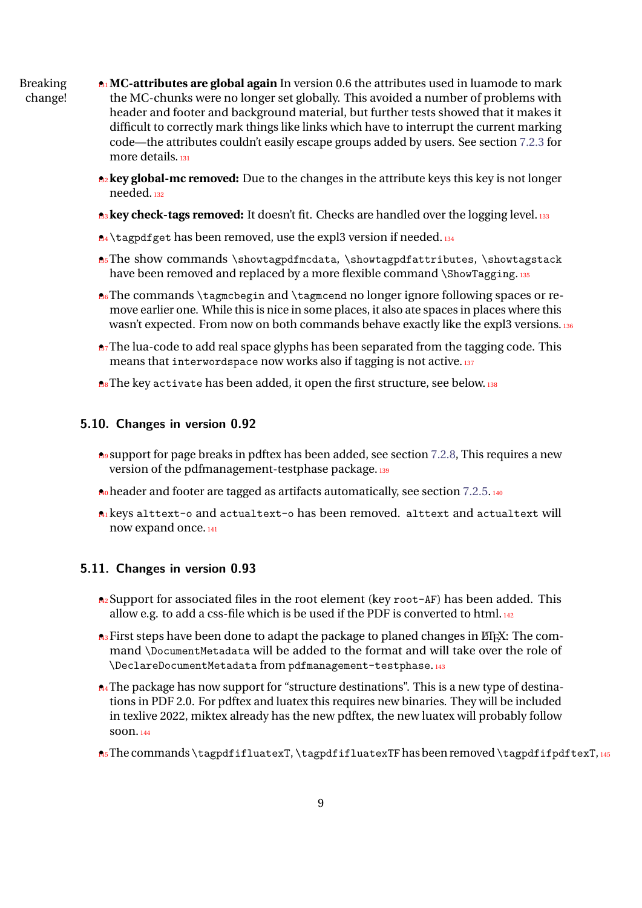- Breaking 131 **MC-attributes are global again** In version 0.6 the attributes used in luamode to mark change! the MC-chunks were no longer set globally. This avoided a number of problems with header and footer and background material, but further tests showed that it makes it difficult to correctly mark things like links which have to interrupt the current marking code—the attributes couldn't easily escape groups added by users. See section [7.2.3](#page-19-0) for more details.<sup>131</sup>
	- <sup>132</sup> **key global-mc removed:** Due to the changes in the attribute keys this key is not longer needed.<sup>132</sup>
	- **As key check-tags removed:** It doesn't fit. Checks are handled over the logging level. 133
	- $\mathbb{A}$  \tagpdfget has been removed, use the expl3 version if needed.  $\mathbb{I}$ 34
	- $\bullet$  The show commands \showtagpdfmcdata, \showtagpdfattributes, \showtagstack have been removed and replaced by a more flexible command \ShowTagging.135
	- $\mathbb{B}$ <sup>6</sup> The commands \tagmcbegin and \tagmcend no longer ignore following spaces or remove earlier one. While this is nice in some places, it also ate spaces in places where this wasn't expected. From now on both commands behave exactly like the expl3 versions.
	- **A**<sub>7</sub>The lua-code to add real space glyphs has been separated from the tagging code. This means that interwordspace now works also if tagging is not active.<sup>137</sup>
	- **B**<sub>8</sub>The key activate has been added, it open the first structure, see below. 138

### <span id="page-8-0"></span>**5.10. Changes in version 0.92**

- $\bullet$  support for page breaks in pdftex has been added, see section [7.2.8,](#page-24-1) This requires a new version of the pdfmanagement-testphase package.<sup>139</sup>
- **A**<sub>0</sub> header and footer are tagged as artifacts automatically, see section [7.2.5.](#page-21-0)140
- 141 keys alttext-o and actualtext-o has been removed. alttext and actualtext will now expand once.<sup>141</sup>

### <span id="page-8-1"></span>**5.11. Changes in version 0.93**

- $\triangle$ 2 Support for associated files in the root element (key root-AF) has been added. This allow e.g. to add a css-file which is be used if the PDF is converted to html.  $_{142}$
- **143** First steps have been done to adapt the package to planed changes in ET<sub>F</sub>X: The command \DocumentMetadata will be added to the format and will take over the role of \DeclareDocumentMetadata from pdfmanagement-testphase.<sup>143</sup>
- **A4** The package has now support for "structure destinations". This is a new type of destinations in PDF 2.0. For pdftex and luatex this requires new binaries. They will be included in texlive 2022, miktex already has the new pdftex, the new luatex will probably follow soon.<sup>144</sup>
- **A**<sub>5</sub> The commands \tagpdfifluatexT, \tagpdfifluatexTF has been removed \tagpdfifpdftexT,  $_{145}$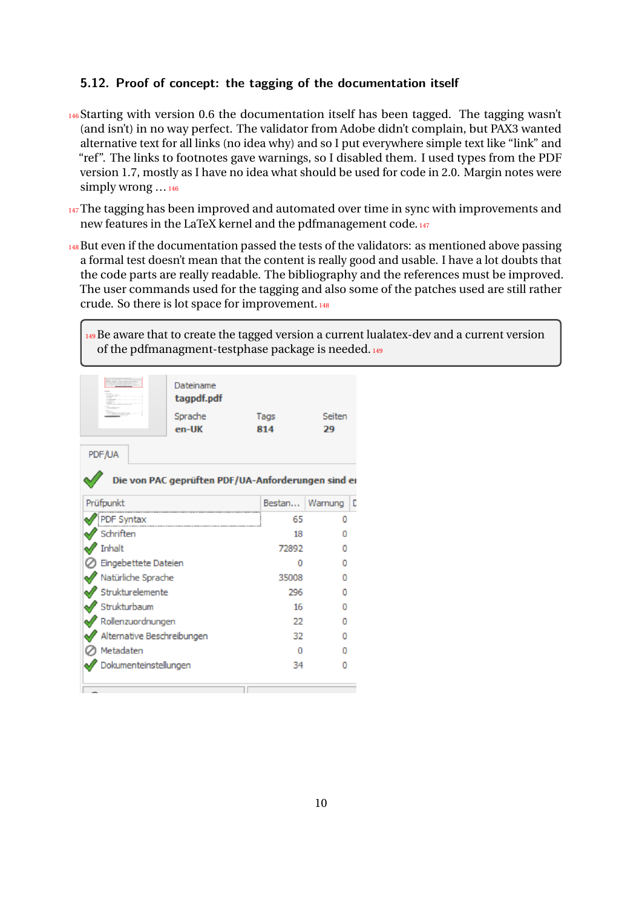### <span id="page-9-0"></span>**5.12. Proof of concept: the tagging of the documentation itself**

- <sup>146</sup>Starting with version 0.6 the documentation itself has been tagged. The tagging wasn't (and isn't) in no way perfect. The validator from Adobe didn't complain, but PAX3 wanted alternative text for all links (no idea why) and so I put everywhere simple text like "link" and "ref". The links to footnotes gave warnings, so I disabled them. I used types from the PDF version 1.7, mostly as I have no idea what should be used for code in 2.0. Margin notes were simply wrong …<sup>146</sup>
- 147 The tagging has been improved and automated over time in sync with improvements and new features in the LaTeX kernel and the pdfmanagement code.<sup>147</sup>
- 148 But even if the documentation passed the tests of the validators: as mentioned above passing a formal test doesn't mean that the content is really good and usable. I have a lot doubts that the code parts are really readable. The bibliography and the references must be improved. The user commands used for the tagging and also some of the patches used are still rather crude. So there is lot space for improvement.<sup>148</sup>

<sup>149</sup>Be aware that to create the tagged version a current lualatex-dev and a current version of the pdfmanagment-testphase package is needed.<sup>149</sup>

|                                                    | Dateiname<br>tagpdf.pdf<br>Sprache<br>en-UK | Tags<br>814 |     | Seiten<br>29 |   |
|----------------------------------------------------|---------------------------------------------|-------------|-----|--------------|---|
| PDF/UA                                             |                                             |             |     |              |   |
| Die von PAC geprüften PDF/UA-Anforderungen sind ei |                                             |             |     |              |   |
| Prüfpunkt                                          |                                             | Bestan      |     | Warnung      | D |
| PDF Syntax                                         |                                             |             | 65  | Ω            |   |
| Schriften                                          |                                             |             | 18  |              |   |
| Inhalt                                             |                                             | 72892       |     |              |   |
| Eingebettete Dateien                               |                                             |             | 0   | n            |   |
| Natürliche Sprache                                 |                                             | 35008       |     | n            |   |
| Strukturelemente                                   |                                             |             | 296 |              |   |
| Strukturbaum                                       |                                             |             | 16  | Ω            |   |
| Rollenzuordnungen                                  |                                             |             | 22  |              |   |
| Alternative Beschreibungen                         |                                             |             | 32  | n            |   |
| Metadaten                                          |                                             |             | Ω   |              |   |
| Dokumenteinstellungen                              |                                             |             | 34  |              |   |
|                                                    |                                             |             |     |              |   |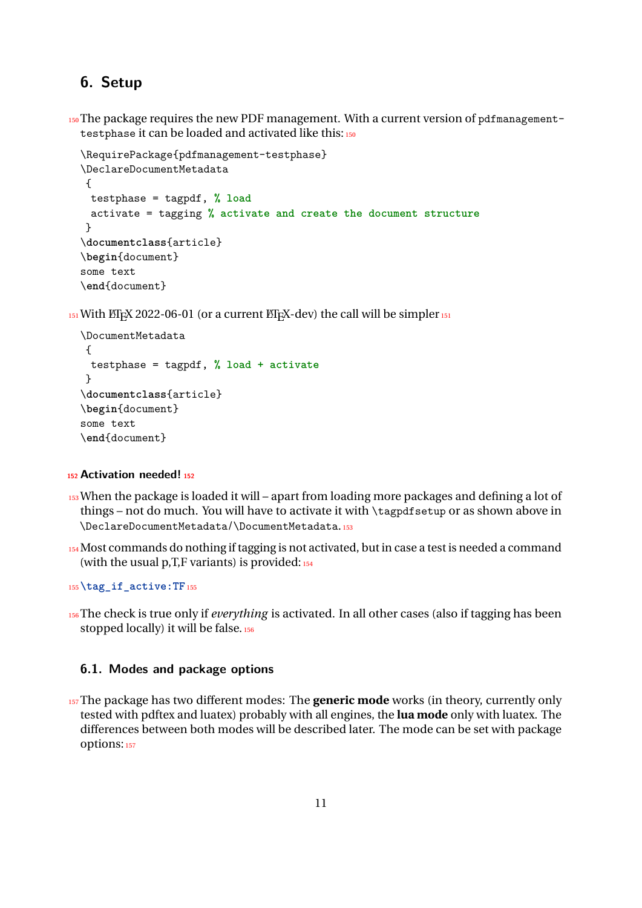## <span id="page-10-0"></span>**6. Setup**

150 The package requires the new PDF management. With a current version of pdfmanagementtestphase it can be loaded and activated like this: 150

```
\RequirePackage{pdfmanagement-testphase}
\DeclareDocumentMetadata
{
 testphase = tagpdf, % load
 activate = tagging % activate and create the document structure
}
\documentclass{article}
\begin{document}
some text
\end{document}
```
 $_{151}$  With ET<sub>E</sub>X 2022-06-01 (or a current ET<sub>E</sub>X-dev) the call will be simpler  $_{151}$ 

```
\DocumentMetadata
{
 testphase = tagpdf, % load + activate
}
\documentclass{article}
\begin{document}
some text
\end{document}
```
#### **<sup>152</sup>Activation needed!<sup>152</sup>**

- <sup>153</sup>When the package is loaded it will apart from loading more packages and defining a lot of things – not do much. You will have to activate it with \tagpdfsetup or as shown above in \DeclareDocumentMetadata/\DocumentMetadata.<sup>153</sup>
- 154 Most commands do nothing if tagging is not activated, but in case a test is needed a command (with the usual  $p, T, F$  variants) is provided:  $154$

<sup>155</sup>**\tag\_if\_active:TF**<sup>155</sup>

<sup>156</sup>The check is true only if *everything* is activated. In all other cases (also if tagging has been stopped locally) it will be false. 156

### <span id="page-10-1"></span>**6.1. Modes and package options**

<sup>157</sup>The package has two different modes: The **generic mode** works (in theory, currently only tested with pdftex and luatex) probably with all engines, the **lua mode** only with luatex. The differences between both modes will be described later. The mode can be set with package options: 157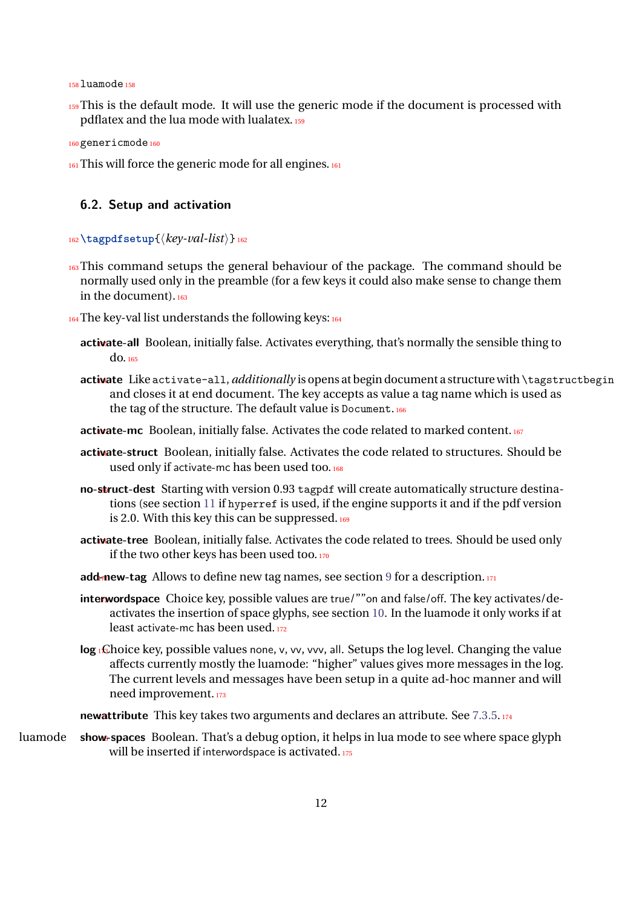$158$ luamode $158$ 

159 This is the default mode. It will use the generic mode if the document is processed with pdflatex and the lua mode with lualatex.<sup>159</sup>

```
160 genericmode 160
```
161 This will force the generic mode for all engines. 161

### <span id="page-11-0"></span>**6.2. Setup and activation**

#### <sup>162</sup>**\tagpdfsetup**{⟨*key-val-list*⟩}<sup>162</sup>

- 163 This command setups the general behaviour of the package. The command should be normally used only in the preamble (for a few keys it could also make sense to change them in the document).<sup>163</sup>
- 164 The key-val list understands the following keys: 164
	- activate-all Boolean, initially false. Activates everything, that's normally the sensible thing to do.<sup>165</sup>
	- activate Like activate-all, *additionally* is opens at begin document a structure with \tagstructbegin and closes it at end document. The key accepts as value a tag name which is used as the tag of the structure. The default value is Document.166
	- activate-mc Boolean, initially false. Activates the code related to marked content.<sup>167</sup>
	- activate-struct Boolean, initially false. Activates the code related to structures. Should be used only if activate-mc has been used too.<sup>168</sup>
	- no-struct-dest Starting with version 0.93 tagpdf will create automatically structure destinations (see section [11](#page-35-0) if hyperref is used, if the engine supports it and if the pdf version is 2.0. With this key this can be suppressed. $169$
	- activate-tree Boolean, initially false. Activates the code related to trees. Should be used only if the two other keys has been used too.<sup>170</sup>
	- add-new-tag Allows to define new tag names, see section [9](#page-33-0) for a description.<sup>171</sup>
	- **interwordspace** Choice key, possible values are true/""on and false/off. The key activates/deactivates the insertion of space glyphs, see section [10.](#page-34-0) In the luamode it only works if at least activate-mc has been used.<sup>172</sup>
	- **log**  $_1$ £hoice key, possible values none, v, vv, vvv, all. Setups the log level. Changing the value affects currently mostly the luamode: "higher" values gives more messages in the log. The current levels and messages have been setup in a quite ad-hoc manner and will need improvement.<sup>173</sup>
	- **newattribute** This key takes two arguments and declares an attribute. See [7.3.5.](#page-29-1)174
- luamode **show-spaces** Boolean. That's a debug option, it helps in lua mode to see where space glyph will be inserted if interwordspace is activated.<sup>175</sup>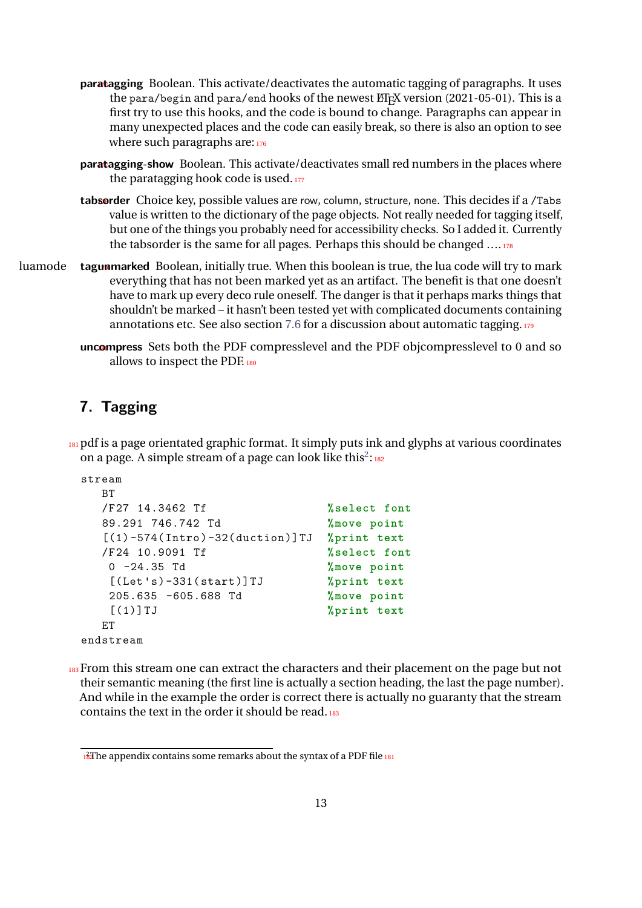- **paratagging** Boolean. This activate/deactivates the automatic tagging of paragraphs. It uses the para/begin and para/end hooks of the newest  $E$ F<sub>E</sub>X version (2021-05-01). This is a first try to use this hooks, and the code is bound to change. Paragraphs can appear in many unexpected places and the code can easily break, so there is also an option to see where such paragraphs are: 176
- **paratagging-show** Boolean. This activate/deactivates small red numbers in the places where the paratagging hook code is used.<sup>177</sup>
- tabsorder Choice key, possible values are row, column, structure, none. This decides if a /Tabs value is written to the dictionary of the page objects. Not really needed for tagging itself, but one of the things you probably need for accessibility checks. So I added it. Currently the tabsorder is the same for all pages. Perhaps this should be changed  $\dots$  178
- luamode **tagunmarked** Boolean, initially true. When this boolean is true, the lua code will try to mark everything that has not been marked yet as an artifact. The benefit is that one doesn't have to mark up every deco rule oneself. The danger is that it perhaps marks things that shouldn't be marked – it hasn't been tested yet with complicated documents containing annotations etc. See also section [7.6](#page-31-0) for a discussion about automatic tagging.<sup>179</sup>
	- uncompress Sets both the PDF compresslevel and the PDF objcompresslevel to 0 and so allows to inspect the PDF.<sup>180</sup>

## <span id="page-12-0"></span>**7. Tagging**

181 pdf is a page orientated graphic format. It simply puts ink and glyphs at various coordinates on a page. A simple stream of a page can look like this<sup>[2](#page-12-1)</sup>: 182

```
stream
  BT
  /F27 14.3462 Tf %select font
  89.291 746.742 Td %move point
  [(1) -574( Intro ) -32( duction )]TJ %print text
  /F24 10.9091 Tf %select font
  0 -24.35 Td %move point
   [(Let 's) -331( start )]TJ %print text
  205.635 -605.688 Td %move point
   [(1)] TJ %print text
  ET
endstream
```
<sup>183</sup> From this stream one can extract the characters and their placement on the page but not their semantic meaning (the first line is actually a section heading, the last the page number). And while in the example the order is correct there is actually no guaranty that the stream contains the text in the order it should be read.<sup>183</sup>

<span id="page-12-1"></span> $18$ <sup>2</sup>The appendix contains some remarks about the syntax of a PDF file 181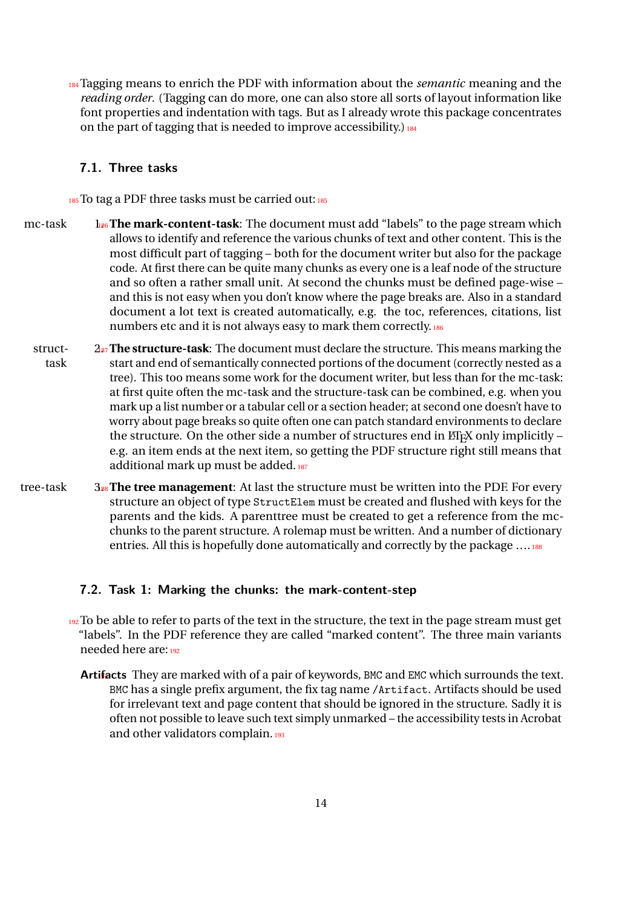<sup>184</sup>Tagging means to enrich the PDF with information about the *semantic* meaning and the *reading order*. (Tagging can do more, one can also store all sorts of layout information like font properties and indentation with tags. But as I already wrote this package concentrates on the part of tagging that is needed to improve accessibility.)  $184$ 

### <span id="page-13-0"></span>**7.1. Three tasks**

 $185$  To tag a PDF three tasks must be carried out:  $185$ 

- mc-task  $\frac{1}{186}$  The mark-content-task: The document must add "labels" to the page stream which allows to identify and reference the various chunks of text and other content. This is the most difficult part of tagging – both for the document writer but also for the package code. At first there can be quite many chunks as every one is a leaf node of the structure and so often a rather small unit. At second the chunks must be defined page-wise – and this is not easy when you don't know where the page breaks are. Also in a standard document a lot text is created automatically, e.g. the toc, references, citations, list numbers etc and it is not always easy to mark them correctly.<sup>186</sup>
- struct-  $2_{87}$  **The structure-task**: The document must declare the structure. This means marking the task start and end of semantically connected portions of the document (correctly nested as a tree). This too means some work for the document writer, but less than for the mc-task: at first quite often the mc-task and the structure-task can be combined, e.g. when you mark up a list number or a tabular cell or a section header; at second one doesn't have to worry about page breaks so quite often one can patch standard environments to declare the structure. On the other side a number of structures end in  $E$ F<sub>K</sub> only implicitly – e.g. an item ends at the next item, so getting the PDF structure right still means that additional mark up must be added.<sup>187</sup>
- tree-task 3.188 **The tree management**: At last the structure must be written into the PDF. For every structure an object of type StructElem must be created and flushed with keys for the parents and the kids. A parenttree must be created to get a reference from the mcchunks to the parent structure. A rolemap must be written. And a number of dictionary entries. All this is hopefully done automatically and correctly by the package .... 188

### <span id="page-13-1"></span>**7.2. Task 1: Marking the chunks: the mark-content-step**

- $192$  To be able to refer to parts of the text in the structure, the text in the page stream must get "labels". In the PDF reference they are called "marked content". The three main variants needed here are:<sup>192</sup>
	- Artifacts They are marked with of a pair of keywords, BMC and EMC which surrounds the text. BMC has a single prefix argument, the fix tag name /Artifact. Artifacts should be used for irrelevant text and page content that should be ignored in the structure. Sadly it is often not possible to leave such text simply unmarked – the accessibility tests in Acrobat and other validators complain.<sup>193</sup>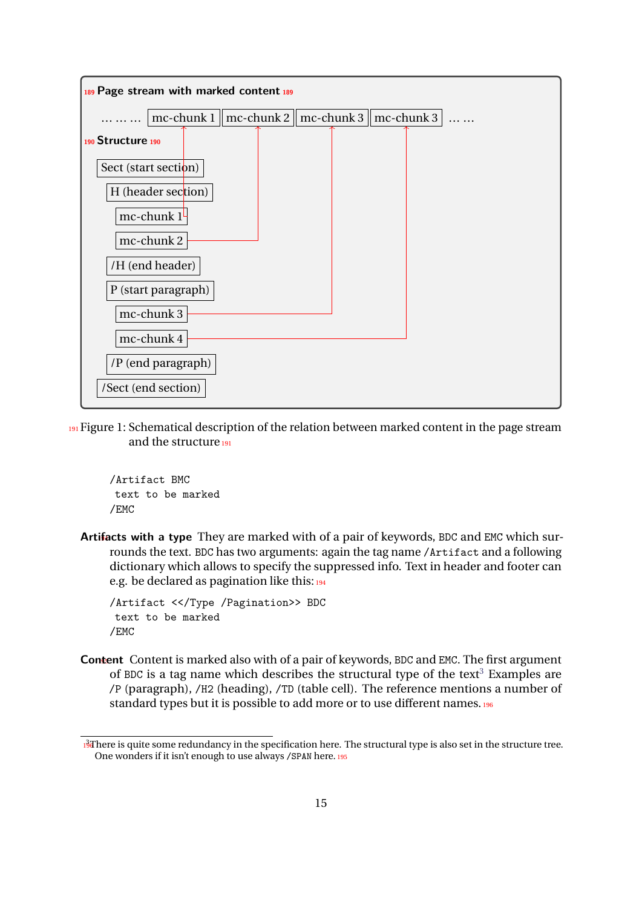

<sup>191</sup> Figure 1: Schematical description of the relation between marked content in the page stream and the structure<sup>191</sup>

/Artifact BMC text to be marked /EMC

**Artifacts with a type** They are marked with of a pair of keywords, BDC and EMC which surrounds the text. BDC has two arguments: again the tag name /Artifact and a following dictionary which allows to specify the suppressed info. Text in header and footer can e.g. be declared as pagination like this:  $194$ 

```
/Artifact <</Type /Pagination>> BDC
text to be marked
/EMC
```
**Content** Content is marked also with of a pair of keywords, BDC and EMC. The first argument of BDC is a tag name which describes the structural type of the text<sup>[3](#page-14-0)</sup> Examples are /P (paragraph), /H2 (heading), /TD (table cell). The reference mentions a number of standard types but it is possible to add more or to use different names.<sup>196</sup>

<span id="page-14-0"></span><sup>196 3</sup>There is quite some redundancy in the specification here. The structural type is also set in the structure tree. One wonders if it isn't enough to use always /SPAN here.<sup>195</sup>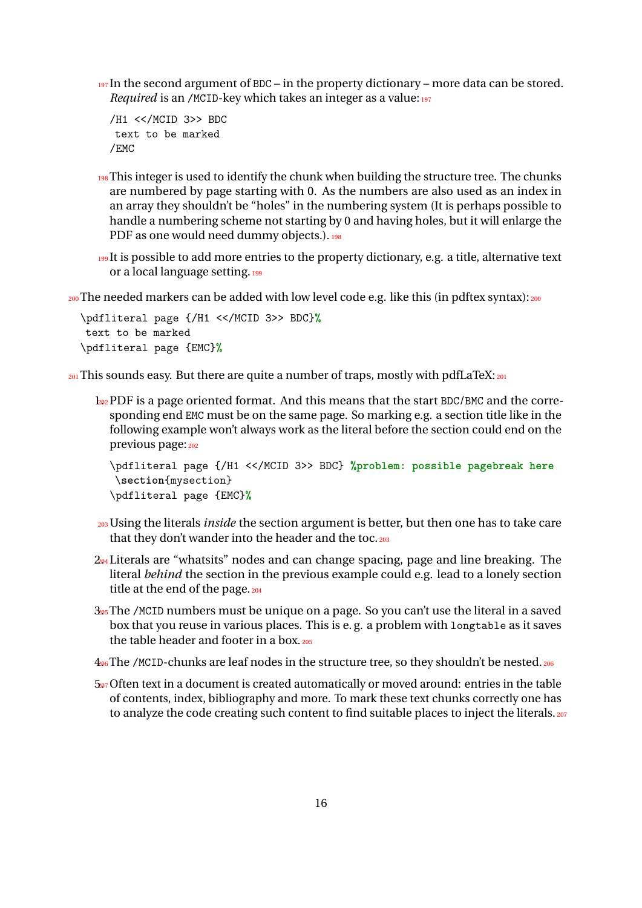$197$  In the second argument of BDC – in the property dictionary – more data can be stored. *Required* is an /MCID-key which takes an integer as a value: 197

```
/H1 <</MCID 3>> BDC
text to be marked
/EMC
```
- 198 This integer is used to identify the chunk when building the structure tree. The chunks are numbered by page starting with 0. As the numbers are also used as an index in an array they shouldn't be "holes" in the numbering system (It is perhaps possible to handle a numbering scheme not starting by 0 and having holes, but it will enlarge the PDF as one would need dummy objects.). 198
- 199 It is possible to add more entries to the property dictionary, e.g. a title, alternative text or a local language setting.<sup>199</sup>

<sub>200</sub> The needed markers can be added with low level code e.g. like this (in pdftex syntax):<sub>200</sub>

```
\pdfliteral page {/H1 <</MCID 3>> BDC}%
text to be marked
\pdfliteral page {EMC}%
```
 $_{201}$  This sounds easy. But there are quite a number of traps, mostly with pdfLaTeX: $_{201}$ 

 $\frac{1}{202}$  PDF is a page oriented format. And this means that the start BDC/BMC and the corresponding end EMC must be on the same page. So marking e.g. a section title like in the following example won't always work as the literal before the section could end on the previous page: 202

```
\pdfliteral page {/H1 <</MCID 3>> BDC} %problem: possible pagebreak here
\section{mysection}
\pdfliteral page {EMC}%
```
- <sup>203</sup>Using the literals *inside* the section argument is better, but then one has to take care that they don't wander into the header and the toc. 203
- $2<sub>04</sub>$  Literals are "whatsits" nodes and can change spacing, page and line breaking. The literal *behind* the section in the previous example could e.g. lead to a lonely section title at the end of the page. 204
- $3<sub>05</sub>$ The /MCID numbers must be unique on a page. So you can't use the literal in a saved box that you reuse in various places. This is e. g. a problem with longtable as it saves the table header and footer in a box. 205
- $406$  The /MCID-chunks are leaf nodes in the structure tree, so they shouldn't be nested.  $206$
- $5<sub>207</sub>$  Often text in a document is created automatically or moved around: entries in the table of contents, index, bibliography and more. To mark these text chunks correctly one has to analyze the code creating such content to find suitable places to inject the literals. 207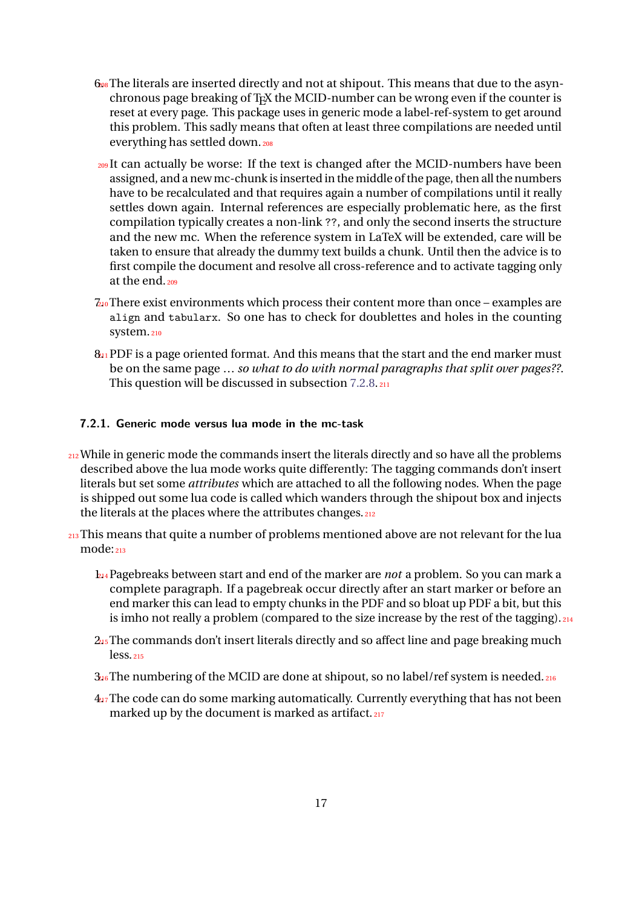- $6.8$ The literals are inserted directly and not at shipout. This means that due to the asynchronous page breaking of TEX the MCID-number can be wrong even if the counter is reset at every page. This package uses in generic mode a label-ref-system to get around this problem. This sadly means that often at least three compilations are needed until everything has settled down.<sup>208</sup>
- <sup>209</sup>It can actually be worse: If the text is changed after the MCID-numbers have been assigned, and a new mc-chunk is inserted in the middle of the page, then all the numbers have to be recalculated and that requires again a number of compilations until it really settles down again. Internal references are especially problematic here, as the first compilation typically creates a non-link ??, and only the second inserts the structure and the new mc. When the reference system in LaTeX will be extended, care will be taken to ensure that already the dummy text builds a chunk. Until then the advice is to first compile the document and resolve all cross-reference and to activate tagging only at the end.<sub>209</sub>
- 7.210 There exist environments which process their content more than once examples are align and tabularx. So one has to check for doublettes and holes in the counting system.<sub>210</sub>
- $8<sub>11</sub>$  PDF is a page oriented format. And this means that the start and the end marker must be on the same page … *so what to do with normal paragraphs that split over pages??*. This question will be discussed in subsection [7.2.8.](#page-24-1)<sup>211</sup>

#### <span id="page-16-0"></span>**7.2.1. Generic mode versus lua mode in the mc-task**

- 212 While in generic mode the commands insert the literals directly and so have all the problems described above the lua mode works quite differently: The tagging commands don't insert literals but set some *attributes* which are attached to all the following nodes. When the page is shipped out some lua code is called which wanders through the shipout box and injects the literals at the places where the attributes changes. 212
- 213 This means that quite a number of problems mentioned above are not relevant for the lua  $mode:_{213}$ 
	- 1.214 Pagebreaks between start and end of the marker are *not* a problem. So you can mark a complete paragraph. If a pagebreak occur directly after an start marker or before an end marker this can lead to empty chunks in the PDF and so bloat up PDF a bit, but this is imho not really a problem (compared to the size increase by the rest of the tagging). 214
	- 2.215 The commands don't insert literals directly and so affect line and page breaking much less.<sup>215</sup>
	- $3.26$  The numbering of the MCID are done at shipout, so no label/ref system is needed.  $216$
	- $4<sub>17</sub>$ The code can do some marking automatically. Currently everything that has not been marked up by the document is marked as artifact.<sup>217</sup>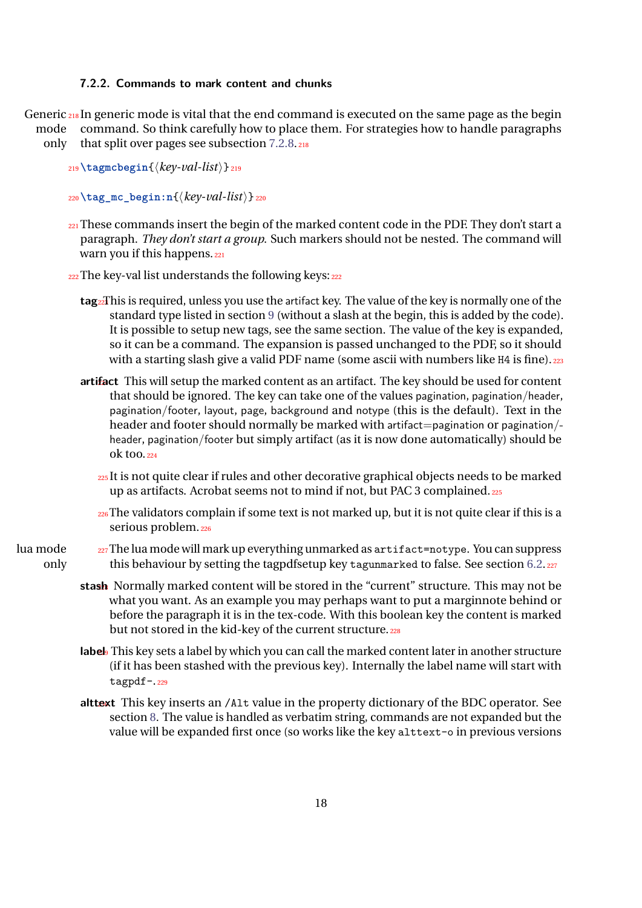#### <span id="page-17-0"></span>**7.2.2. Commands to mark content and chunks**

Generic 218 In generic mode is vital that the end command is executed on the same page as the begin mode only command. So think carefully how to place them. For strategies how to handle paragraphs that split over pages see subsection [7.2.8.](#page-24-1)<sup>218</sup>

- <sup>219</sup>**\tagmcbegin**{⟨*key-val-list*⟩}<sup>219</sup>
- <sup>220</sup>**\tag\_mc\_begin:n**{⟨*key-val-list*⟩}<sup>220</sup>
- 221 These commands insert the begin of the marked content code in the PDF. They don't start a paragraph. *They don't start a group*. Such markers should not be nested. The command will warn you if this happens. 221
- $_{222}$ The key-val list understands the following keys:  $_{222}$ 
	- **tag**223 This is required, unless you use the artifact key. The value of the key is normally one of the standard type listed in section [9](#page-33-0) (without a slash at the begin, this is added by the code). It is possible to setup new tags, see the same section. The value of the key is expanded, so it can be a command. The expansion is passed unchanged to the PDF, so it should with a starting slash give a valid PDF name (some ascii with numbers like H4 is fine). 223
	- **artifact** This will setup the marked content as an artifact. The key should be used for content that should be ignored. The key can take one of the values pagination, pagination/header, pagination/footer, layout, page, background and notype (this is the default). Text in the header and footer should normally be marked with artifact=pagination or pagination/header, pagination/footer but simply artifact (as it is now done automatically) should be ok too.<sup>224</sup>
		- <sup>225</sup>It is not quite clear if rules and other decorative graphical objects needs to be marked up as artifacts. Acrobat seems not to mind if not, but PAC 3 complained.<sup>225</sup>
		- <sup>226</sup>The validators complain if some text is not marked up, but it is not quite clear if this is a serious problem.<sup>226</sup>

#### lua mode only  $227$  The lua mode will mark up everything unmarked as  $artifact=not$  ype. You can suppress this behaviour by setting the tagpdfsetup key tagunmarked to false. See section [6.2.](#page-11-0)227

- **stash** Normally marked content will be stored in the "current" structure. This may not be what you want. As an example you may perhaps want to put a marginnote behind or before the paragraph it is in the tex-code. With this boolean key the content is marked but not stored in the kid-key of the current structure. 228
- label This key sets a label by which you can call the marked content later in another structure (if it has been stashed with the previous key). Internally the label name will start with tagpdf-.<sup>229</sup>
- alttext This key inserts an /Alt value in the property dictionary of the BDC operator. See section [8.](#page-32-1) The value is handled as verbatim string, commands are not expanded but the value will be expanded first once (so works like the key alttext-o in previous versions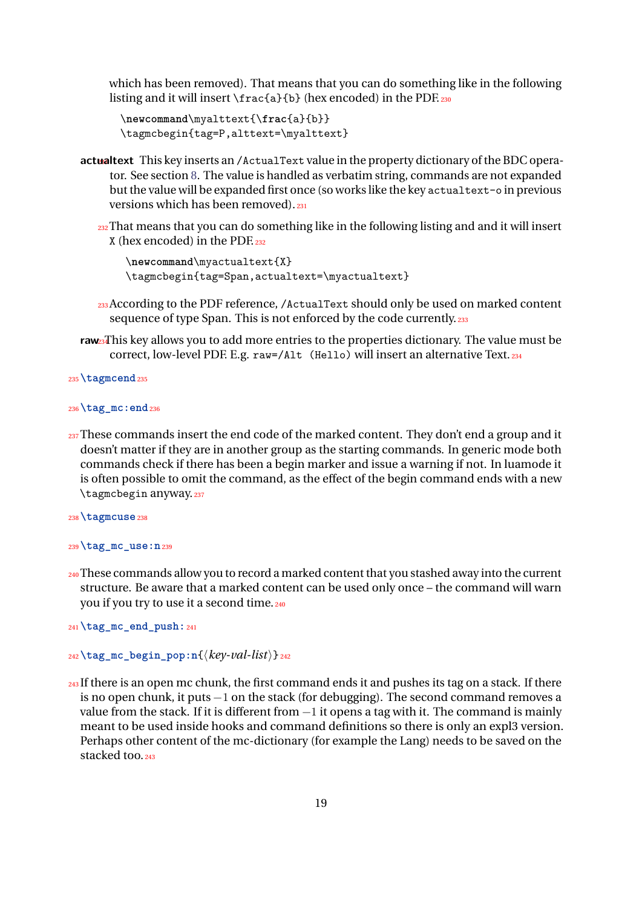which has been removed). That means that you can do something like in the following listing and it will insert \frac{a}{b} (hex encoded) in the PDF.<sub>230</sub>

```
\newcommand\myalttext{\frac{a}{b}}
\tagmcbegin{tag=P,alttext=\myalttext}
```
- actualtext This key inserts an /ActualText value in the property dictionary of the BDC operator. See section [8.](#page-32-1) The value is handled as verbatim string, commands are not expanded but the value will be expanded first once (so works like the key actualtext-o in previous versions which has been removed).<sup>231</sup>
	- 232 That means that you can do something like in the following listing and and it will insert X (hex encoded) in the PDF.<sup>232</sup>

```
\newcommand\myactualtext{X}
\tagmcbegin{tag=Span,actualtext=\myactualtext}
```
- <sup>233</sup>According to the PDF reference, /ActualText should only be used on marked content sequence of type Span. This is not enforced by the code currently. 233
- **raw**234 This key allows you to add more entries to the properties dictionary. The value must be correct, low-level PDF. E.g. raw=/Alt (Hello) will insert an alternative Text.<sup>234</sup>

```
235\tagmcend235
```

```
236\tag_mc:end236
```
 $_{237}$  These commands insert the end code of the marked content. They don't end a group and it doesn't matter if they are in another group as the starting commands. In generic mode both commands check if there has been a begin marker and issue a warning if not. In luamode it is often possible to omit the command, as the effect of the begin command ends with a new \tagmcbegin anyway.<sup>237</sup>

```
238\tagmcuse238
```

```
239\tag_mc_use:n239
```
240 These commands allow you to record a marked content that you stashed away into the current structure. Be aware that a marked content can be used only once – the command will warn you if you try to use it a second time. 240

<sup>241</sup>**\tag\_mc\_end\_push:**<sup>241</sup>

```
242\tag_mc_begin_pop:n{⟨key-val-list⟩}242
```
243 If there is an open mc chunk, the first command ends it and pushes its tag on a stack. If there is no open chunk, it puts −1 on the stack (for debugging). The second command removes a value from the stack. If it is different from −1 it opens a tag with it. The command is mainly meant to be used inside hooks and command definitions so there is only an expl3 version. Perhaps other content of the mc-dictionary (for example the Lang) needs to be saved on the stacked too. 243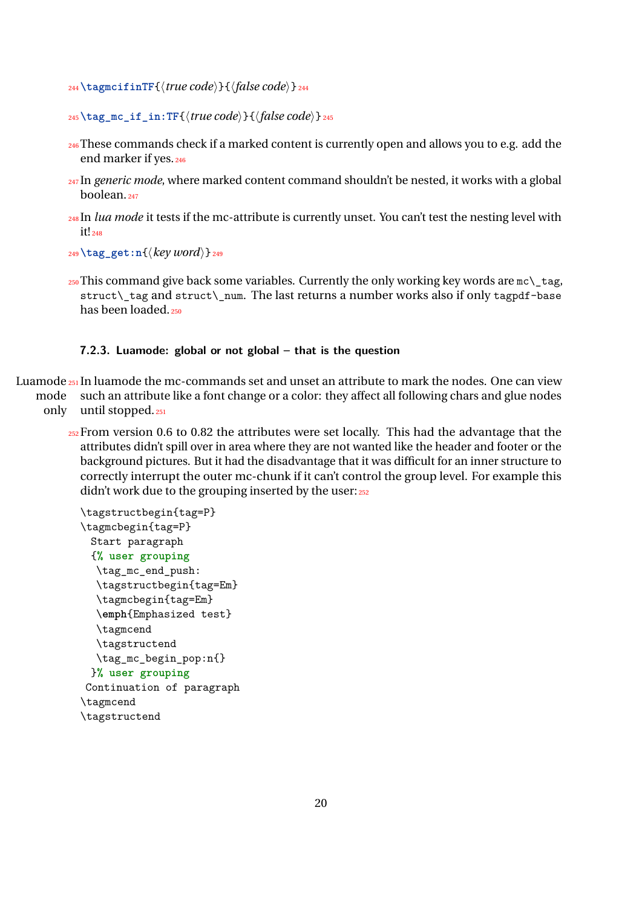- <sup>244</sup>**\tagmcifinTF**{⟨*true code*⟩}{⟨*false code*⟩}<sup>244</sup>
- <sup>245</sup>**\tag\_mc\_if\_in:TF**{⟨*true code*⟩}{⟨*false code*⟩}<sup>245</sup>
- <sup>246</sup>These commands check if a marked content is currently open and allows you to e.g. add the end marker if yes.<sup>246</sup>
- <sup>247</sup>In *generic mode*, where marked content command shouldn't be nested, it works with a global boolean $247$
- <sup>248</sup>In *lua mode* it tests if the mc-attribute is currently unset. You can't test the nesting level with it!<sub>248</sub>
- <sup>249</sup>**\tag\_get:n**{⟨*key word*⟩}<sup>249</sup>
- $_{250}$  This command give back some variables. Currently the only working key words are  $mc \setminus t$ ag, struct\\_tag and struct\\_num. The last returns a number works also if only tagpdf-base has been loaded.<sup>250</sup>

#### <span id="page-19-0"></span>**7.2.3. Luamode: global or not global – that is the question**

Luamode 251 In luamode the mc-commands set and unset an attribute to mark the nodes. One can view mode such an attribute like a font change or a color: they affect all following chars and glue nodes only until stopped.<sup>251</sup>

 $252$  From version 0.6 to 0.82 the attributes were set locally. This had the advantage that the attributes didn't spill over in area where they are not wanted like the header and footer or the background pictures. But it had the disadvantage that it was difficult for an inner structure to correctly interrupt the outer mc-chunk if it can't control the group level. For example this didn't work due to the grouping inserted by the user: 252

```
\tagstructbegin{tag=P}
\tagmcbegin{tag=P}
 Start paragraph
 {% user grouping
  \tag_mc_end_push:
  \tagstructbegin{tag=Em}
  \tagmcbegin{tag=Em}
  \emph{Emphasized test}
  \tagmcend
  \tagstructend
  \tag_mc_begin_pop:n{}
 }% user grouping
Continuation of paragraph
\tagmcend
\tagstructend
```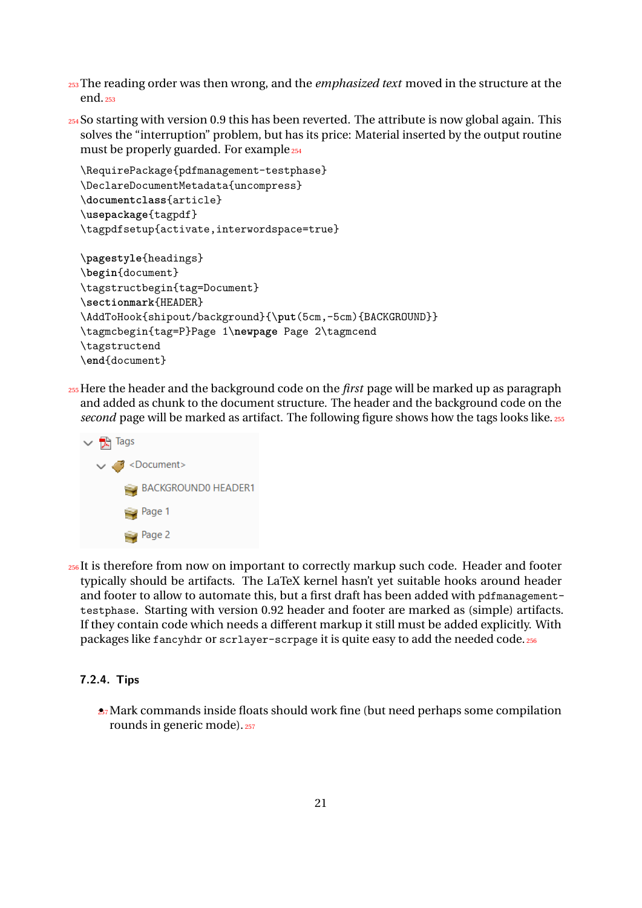- <sup>253</sup>The reading order was then wrong, and the *emphasized text* moved in the structure at the end.<sup>253</sup>
- <sup>254</sup>So starting with version 0.9 this has been reverted. The attribute is now global again. This solves the "interruption" problem, but has its price: Material inserted by the output routine must be properly guarded. For example 254

```
\RequirePackage{pdfmanagement-testphase}
\DeclareDocumentMetadata{uncompress}
\documentclass{article}
\usepackage{tagpdf}
\tagpdfsetup{activate,interwordspace=true}
\pagestyle{headings}
\begin{document}
\tagstructbegin{tag=Document}
\sectionmark{HEADER}
\AddToHook{shipout/background}{\put(5cm,-5cm){BACKGROUND}}
\tagmcbegin{tag=P}Page 1\newpage Page 2\tagmcend
\tagstructend
\end{document}
```
<sup>255</sup>Here the header and the background code on the *first* page will be marked up as paragraph and added as chunk to the document structure. The header and the background code on the second page will be marked as artifact. The following figure shows how the tags looks like.<sup>255</sup>



256It is therefore from now on important to correctly markup such code. Header and footer typically should be artifacts. The LaTeX kernel hasn't yet suitable hooks around header and footer to allow to automate this, but a first draft has been added with pdfmanagementtestphase. Starting with version 0.92 header and footer are marked as (simple) artifacts. If they contain code which needs a different markup it still must be added explicitly. With packages like fancyhdr or scrlayer-scrpage it is quite easy to add the needed code.<sup>256</sup>

### <span id="page-20-0"></span>**7.2.4. Tips**

 $\approx$ <sup>7</sup> Mark commands inside floats should work fine (but need perhaps some compilation rounds in generic mode). 257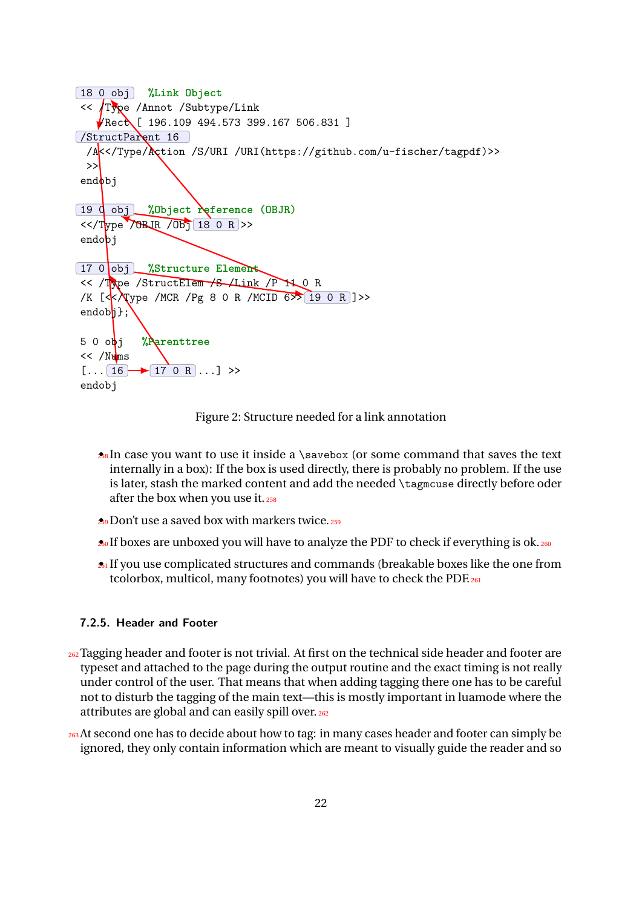```
18 0 obj %Link Object
 << /Type /Annot /Subtype/Link
    \sqrt{\text{Rect}} [ 196.109 494.573 399.167 506.831 ]
/StructParent 16
  /A<</Type/Action /S/URI /URI(https://github.com/u-fischer/tagpdf)>>
  >>
endbj
19 0 obj %Object reference (OBJR)
 <</Type /OBJR /Obj 18 0 R >>
endobj
17 0 obj %Structure Element
<< /Type /StructElem /S /Link /P 11 0 R
/K \left[\langle \cdot \rangle \right] /MCR /Pg 8 0 R /MCID 6>> 19 0 R ] >>
endob\ket{\cdot};
5 0 obj %Parenttree
<< /Nums[... 16 \rightarrow 170 R ... ] >>
endobj
```
<span id="page-21-1"></span>Figure 2: Structure needed for a link annotation

- $28$  In case you want to use it inside a \savebox (or some command that saves the text internally in a box): If the box is used directly, there is probably no problem. If the use is later, stash the marked content and add the needed \tagmcuse directly before oder after the box when you use it.<sup>258</sup>
- **29** Don't use a saved box with markers twice. 259
- $\bullet$  If boxes are unboxed you will have to analyze the PDF to check if everything is ok.  $_{260}$
- **261** If you use complicated structures and commands (breakable boxes like the one from tcolorbox, multicol, many footnotes) you will have to check the PDF.<sup>261</sup>

#### <span id="page-21-0"></span>**7.2.5. Header and Footer**

- 262 Tagging header and footer is not trivial. At first on the technical side header and footer are typeset and attached to the page during the output routine and the exact timing is not really under control of the user. That means that when adding tagging there one has to be careful not to disturb the tagging of the main text—this is mostly important in luamode where the attributes are global and can easily spill over. 262
- 263 At second one has to decide about how to tag: in many cases header and footer can simply be ignored, they only contain information which are meant to visually guide the reader and so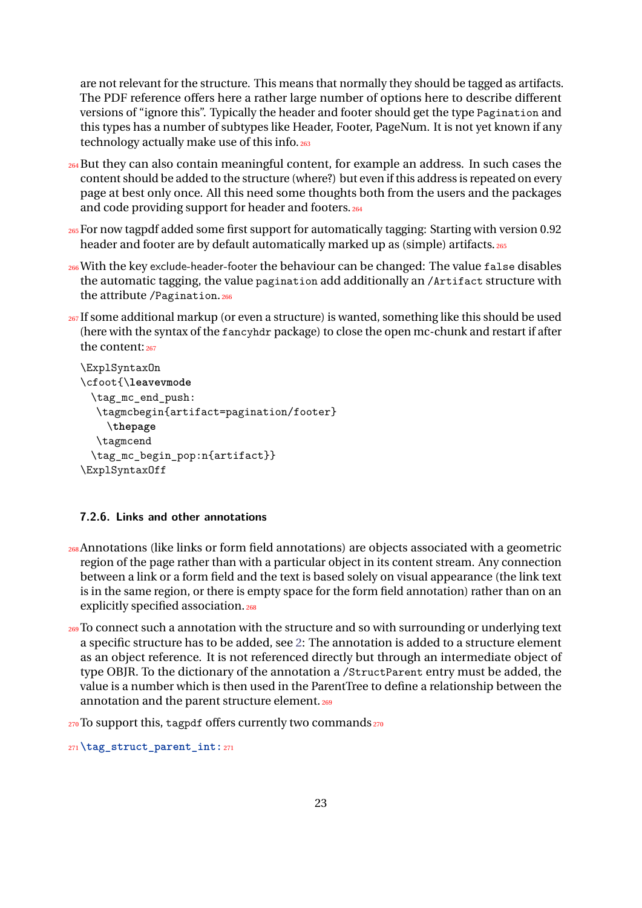are not relevant for the structure. This means that normally they should be tagged as artifacts. The PDF reference offers here a rather large number of options here to describe different versions of "ignore this". Typically the header and footer should get the type Pagination and this types has a number of subtypes like Header, Footer, PageNum. It is not yet known if any technology actually make use of this info. 263

- <sup>264</sup>But they can also contain meaningful content, for example an address. In such cases the content should be added to the structure (where?) but even if this address is repeated on every page at best only once. All this need some thoughts both from the users and the packages and code providing support for header and footers. 264
- <sup>265</sup>For now tagpdf added some first support for automatically tagging: Starting with version 0.92 header and footer are by default automatically marked up as (simple) artifacts. 265
- 266 With the key exclude-header-footer the behaviour can be changed: The value false disables the automatic tagging, the value pagination add additionally an /Artifact structure with the attribute / Pagination. 266
- 267 If some additional markup (or even a structure) is wanted, something like this should be used (here with the syntax of the fancyhdr package) to close the open mc-chunk and restart if after the content: 267

```
\ExplSyntaxOn
\cfoot{\leavevmode
 \tag_mc_end_push:
  \tagmcbegin{artifact=pagination/footer}
    \thepage
  \tagmcend
 \tag_mc_begin_pop:n{artifact}}
\ExplSyntaxOff
```
#### <span id="page-22-0"></span>**7.2.6. Links and other annotations**

- <sup>268</sup>Annotations (like links or form field annotations) are objects associated with a geometric region of the page rather than with a particular object in its content stream. Any connection between a link or a form field and the text is based solely on visual appearance (the link text is in the same region, or there is empty space for the form field annotation) rather than on an explicitly specified association. 268
- 269 To connect such a annotation with the structure and so with surrounding or underlying text a specific structure has to be added, see [2:](#page-21-1) The annotation is added to a structure element as an object reference. It is not referenced directly but through an intermediate object of type OBJR. To the dictionary of the annotation a /StructParent entry must be added, the value is a number which is then used in the ParentTree to define a relationship between the annotation and the parent structure element. 269

 $_{270}$  To support this, tagpdf offers currently two commands $_{270}$ 

<sup>271</sup>**\tag\_struct\_parent\_int:**<sup>271</sup>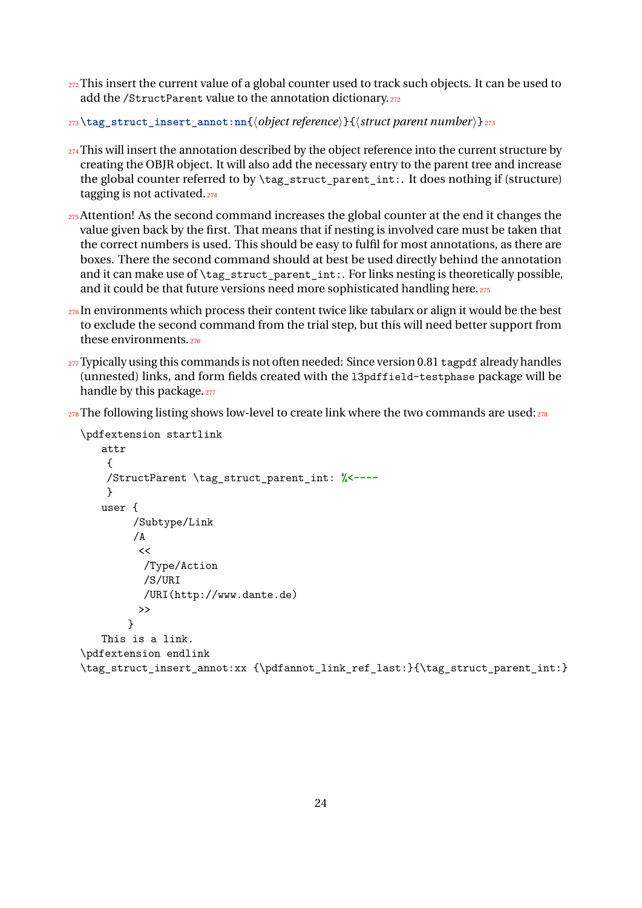272 This insert the current value of a global counter used to track such objects. It can be used to add the /StructParent value to the annotation dictionary.<sup>272</sup>

```
273\tag_struct_insert_annot:nn{⟨object reference⟩}{⟨struct parent number ⟩}273
```
- 274 This will insert the annotation described by the object reference into the current structure by creating the OBJR object. It will also add the necessary entry to the parent tree and increase the global counter referred to by \tag\_struct\_parent\_int:. It does nothing if (structure) tagging is not activated.<sup>274</sup>
- 275 Attention! As the second command increases the global counter at the end it changes the value given back by the first. That means that if nesting is involved care must be taken that the correct numbers is used. This should be easy to fulfil for most annotations, as there are boxes. There the second command should at best be used directly behind the annotation and it can make use of \tag\_struct\_parent\_int:. For links nesting is theoretically possible, and it could be that future versions need more sophisticated handling here. 275
- $276$  In environments which process their content twice like tabularx or align it would be the best to exclude the second command from the trial step, but this will need better support from these environments.<sup>276</sup>
- $277$  Typically using this commands is not often needed: Since version 0.81 tagpdf already handles (unnested) links, and form fields created with the l3pdffield-testphase package will be handle by this package. 277

 $_{278}$ The following listing shows low-level to create link where the two commands are used: $_{278}$ 

```
\pdfextension startlink
   attr
    {
    /StructParent \tag_struct_parent_int: %<----
    }
   user {
        /Subtype/Link
        /A
         <</Type/Action
          /S/URI
          /URI(http://www.dante.de)
         >>
       }
   This is a link.
\pdfextension endlink
\tag_struct_insert_annot:xx {\pdfannot_link_ref_last:}{\tag_struct_parent_int:}
```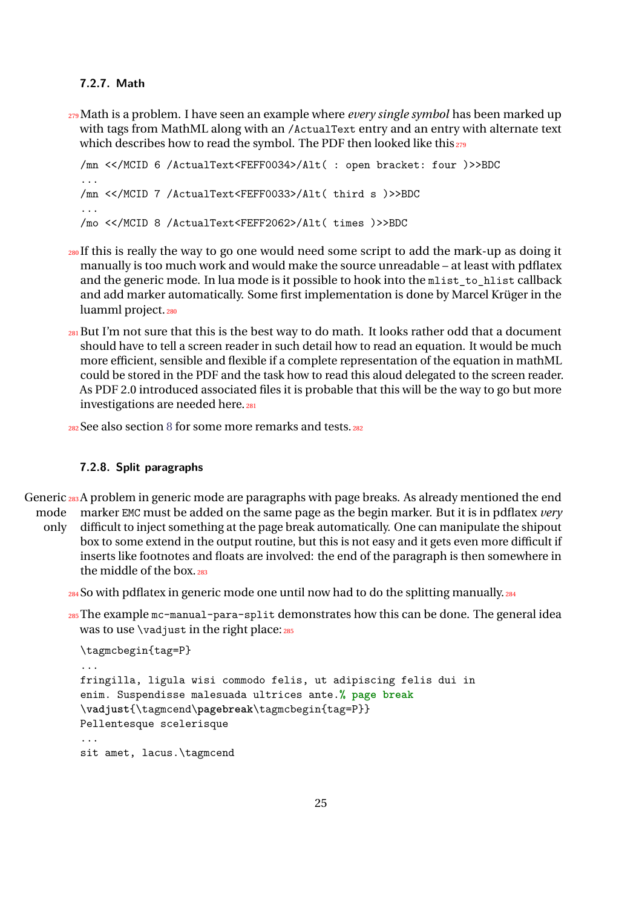#### <span id="page-24-0"></span>**7.2.7. Math**

<sup>279</sup>Math is a problem. I have seen an example where *every single symbol* has been marked up with tags from MathML along with an /ActualText entry and an entry with alternate text which describes how to read the symbol. The PDF then looked like this 279

```
/mn <</MCID 6 /ActualText<FEFF0034>/Alt( : open bracket: four )>>BDC
...
/mn <</MCID 7 /ActualText<FEFF0033>/Alt( third s )>>BDC
...
/mo <</MCID 8 /ActualText<FEFF2062>/Alt( times )>>BDC
```
- <sup>280</sup>If this is really the way to go one would need some script to add the mark-up as doing it manually is too much work and would make the source unreadable – at least with pdflatex and the generic mode. In lua mode is it possible to hook into the mlist to hlist callback and add marker automatically. Some first implementation is done by Marcel Krüger in the luamml project.<sub>280</sub>
- $_{281}$ But I'm not sure that this is the best way to do math. It looks rather odd that a document should have to tell a screen reader in such detail how to read an equation. It would be much more efficient, sensible and flexible if a complete representation of the equation in mathML could be stored in the PDF and the task how to read this aloud delegated to the screen reader. As PDF 2.0 introduced associated files it is probable that this will be the way to go but more investigations are needed here. 281
- <sup>282</sup>See also section [8](#page-32-1) for some more remarks and tests.<sup>282</sup>

#### <span id="page-24-1"></span>**7.2.8. Split paragraphs**

Generic 283 A problem in generic mode are paragraphs with page breaks. As already mentioned the end mode marker EMC must be added on the same page as the begin marker. But it is in pdflatex *very*

- only difficult to inject something at the page break automatically. One can manipulate the shipout box to some extend in the output routine, but this is not easy and it gets even more difficult if inserts like footnotes and floats are involved: the end of the paragraph is then somewhere in the middle of the box. 283
	- $_{284}$  So with pdflatex in generic mode one until now had to do the splitting manually.  $_{284}$
	- $285$ The example mc-manual-para-split demonstrates how this can be done. The general idea was to use  $\varepsilon$  vadjust in the right place: 285

```
\tagmcbegin{tag=P}
...
fringilla, ligula wisi commodo felis, ut adipiscing felis dui in
enim. Suspendisse malesuada ultrices ante.% page break
\vadjust{\tagmcend\pagebreak\tagmcbegin{tag=P}}
Pellentesque scelerisque
...
sit amet, lacus.\tagmcend
```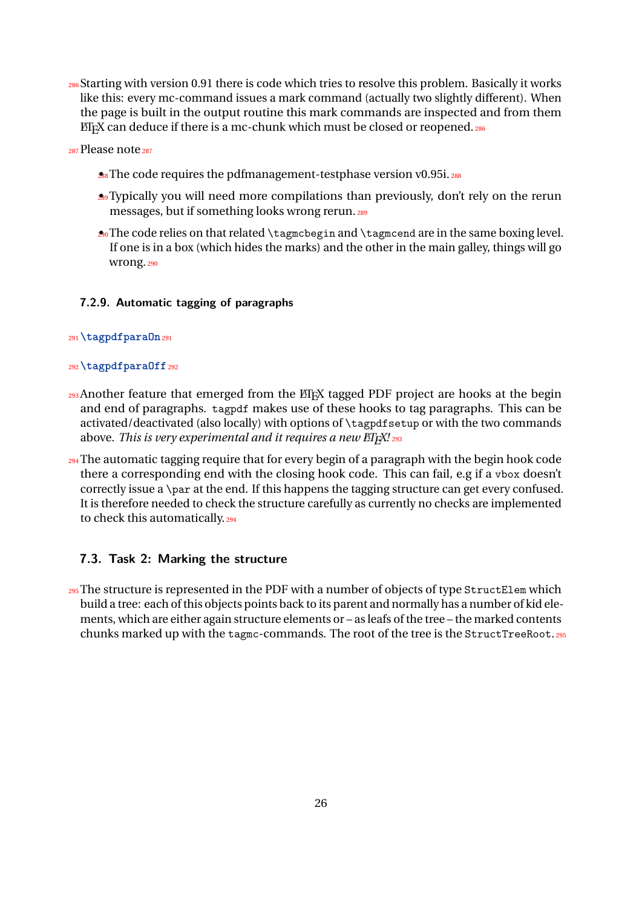286 Starting with version 0.91 there is code which tries to resolve this problem. Basically it works like this: every mc-command issues a mark command (actually two slightly different). When the page is built in the output routine this mark commands are inspected and from them ETEX can deduce if there is a mc-chunk which must be closed or reopened.286

 $287$ Please note $287$ 

- **28**<sup></sup> The code requires the pdfmanagement-testphase version v0.95i. 288
- **28** Typically you will need more compilations than previously, don't rely on the rerun messages, but if something looks wrong rerun.<sup>289</sup>
- 20 The code relies on that related \tagmcbegin and \tagmcend are in the same boxing level. If one is in a box (which hides the marks) and the other in the main galley, things will go wrong.<sub>290</sub>

#### <span id="page-25-0"></span>**7.2.9. Automatic tagging of paragraphs**

#### <sup>291</sup>**\tagpdfparaOn**<sup>291</sup>

#### <sup>292</sup>**\tagpdfparaOff**<sup>292</sup>

- 293 Another feature that emerged from the ET<sub>F</sub>X tagged PDF project are hooks at the begin and end of paragraphs. tagpdf makes use of these hooks to tag paragraphs. This can be activated/deactivated (also locally) with options of \tagpdfsetup or with the two commands above. *This is very experimental and it requires a new ET<sub>F</sub>X! 293</sub>*
- <sup>294</sup> The automatic tagging require that for every begin of a paragraph with the begin hook code there a corresponding end with the closing hook code. This can fail, e.g if a vbox doesn't correctly issue a \par at the end. If this happens the tagging structure can get every confused. It is therefore needed to check the structure carefully as currently no checks are implemented to check this automatically.<sup>294</sup>

#### <span id="page-25-1"></span>**7.3. Task 2: Marking the structure**

 $_{295}$  The structure is represented in the PDF with a number of objects of type StructElem which build a tree: each of this objects points back to its parent and normally has a number of kid elements, which are either again structure elements or – as leafs of the tree – the marked contents chunks marked up with the tagmc-commands. The root of the tree is the StructTreeRoot.<sup>295</sup>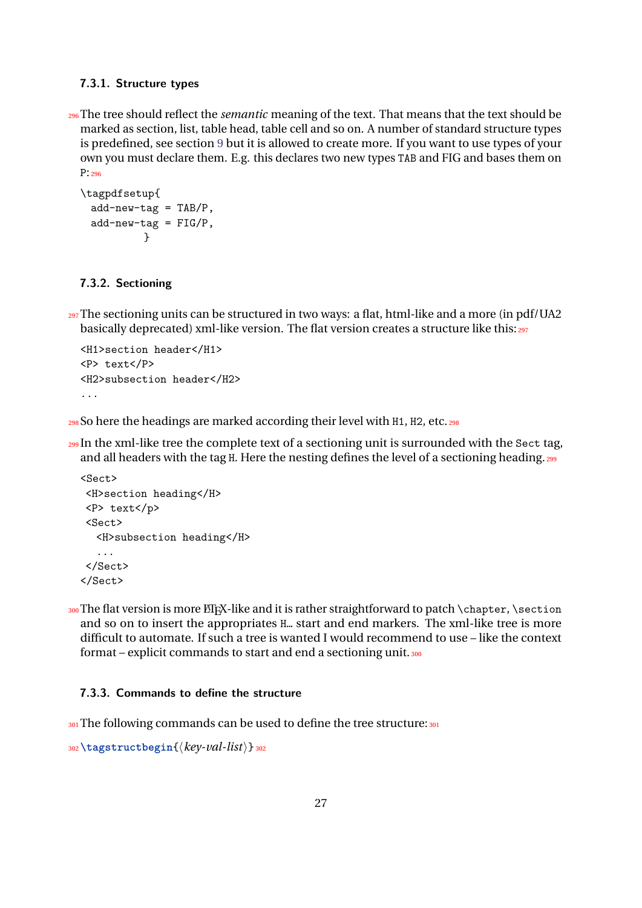#### <span id="page-26-0"></span>**7.3.1. Structure types**

<sup>296</sup>The tree should reflect the *semantic* meaning of the text. That means that the text should be marked as section, list, table head, table cell and so on. A number of standard structure types is predefined, see section [9](#page-33-0) but it is allowed to create more. If you want to use types of your own you must declare them. E.g. this declares two new types TAB and FIG and bases them on P:<sup>296</sup>

```
\tagpdfsetup{
 add-new-tag = TAB/P,add-new-tag = FIG/P,}
```
#### <span id="page-26-1"></span>**7.3.2. Sectioning**

 $_{297}$ The sectioning units can be structured in two ways: a flat, html-like and a more (in pdf/UA2 basically deprecated) xml-like version. The flat version creates a structure like this: $_{297}$ 

```
<H1>section header</H1>
<P> text</P>
<H2>subsection header</H2>
...
```
<sup>298</sup>So here the headings are marked according their level with H1, H2, etc.<sup>298</sup>

 $_{299}$ In the xml-like tree the complete text of a sectioning unit is surrounded with the Sect tag, and all headers with the tag H. Here the nesting defines the level of a sectioning heading. 299

```
<Sect>
<H>section heading</H>
<P> text</p>
<Sect>
  <H>subsection heading</H>
  ...
</Sect>
</Sect>
```
300 The flat version is more LT<sub>E</sub>X-like and it is rather straightforward to patch \chapter, \section and so on to insert the appropriates H… start and end markers. The xml-like tree is more difficult to automate. If such a tree is wanted I would recommend to use – like the context format – explicit commands to start and end a sectioning unit. 300

#### <span id="page-26-2"></span>**7.3.3. Commands to define the structure**

301 The following commands can be used to define the tree structure: 301

```
302\tagstructbegin{⟨key-val-list⟩}302
```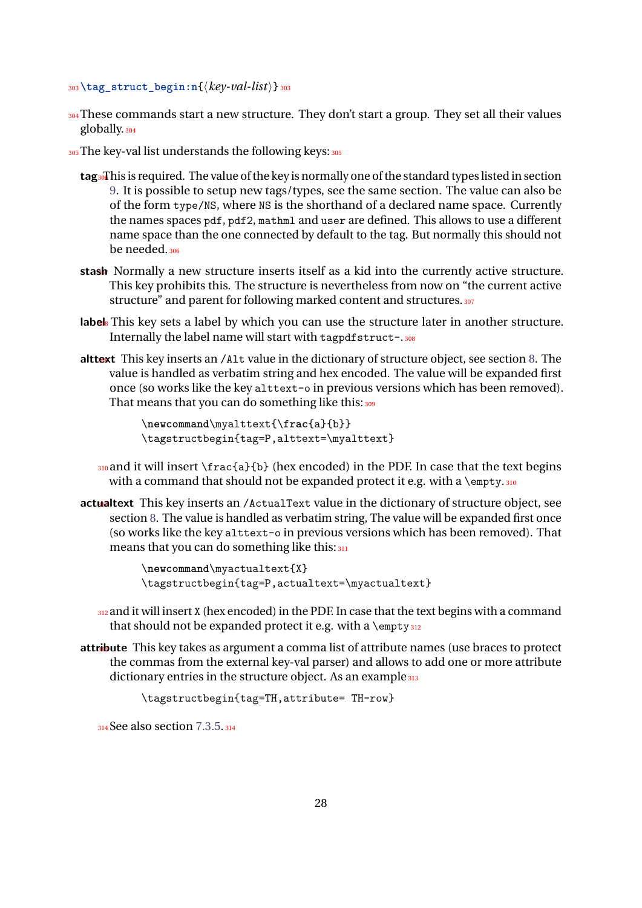```
303\tag_struct_begin:n{⟨key-val-list⟩}303
```
- 304 These commands start a new structure. They don't start a group. They set all their values globally.<sup>304</sup>
- 305 The key-val list understands the following keys: 305
	- tag<sub>30</sub>This is required. The value of the key is normally one of the standard types listed in section [9.](#page-33-0) It is possible to setup new tags/types, see the same section. The value can also be of the form type/NS, where NS is the shorthand of a declared name space. Currently the names spaces pdf, pdf2, mathml and user are defined. This allows to use a different name space than the one connected by default to the tag. But normally this should not be needed.<sub>306</sub>
	- stash Normally a new structure inserts itself as a kid into the currently active structure. This key prohibits this. The structure is nevertheless from now on "the current active structure" and parent for following marked content and structures. 307
	- **label** 3<sup>n</sup> This key sets a label by which you can use the structure later in another structure. Internally the label name will start with tagpdfstruct-.308
	- alttext This key inserts an /Alt value in the dictionary of structure object, see section [8.](#page-32-1) The value is handled as verbatim string and hex encoded. The value will be expanded first once (so works like the key alttext-o in previous versions which has been removed). That means that you can do something like this: 309

\**newcommand**\myalttext{\**frac**{a}{b}} \tagstructbegin{tag=P,alttext=\myalttext}

 $_{310}$  and it will insert \frac{a}{b} (hex encoded) in the PDF. In case that the text begins with a command that should not be expanded protect it e.g. with a  $\emptyset$ 

actualtext This key inserts an /ActualText value in the dictionary of structure object, see section [8.](#page-32-1) The value is handled as verbatim string, The value will be expanded first once (so works like the key alttext-o in previous versions which has been removed). That means that you can do something like this: 311

> \**newcommand**\myactualtext{X} \tagstructbegin{tag=P,actualtext=\myactualtext}

- $312$  and it will insert X (hex encoded) in the PDF. In case that the text begins with a command that should not be expanded protect it e.g. with a  $\emptyset$
- **attribute** This key takes as argument a comma list of attribute names (use braces to protect the commas from the external key-val parser) and allows to add one or more attribute dictionary entries in the structure object. As an example 313

\tagstructbegin{tag=TH,attribute= TH-row}

<sup>314</sup>See also section [7.3.5.](#page-29-1)<sup>314</sup>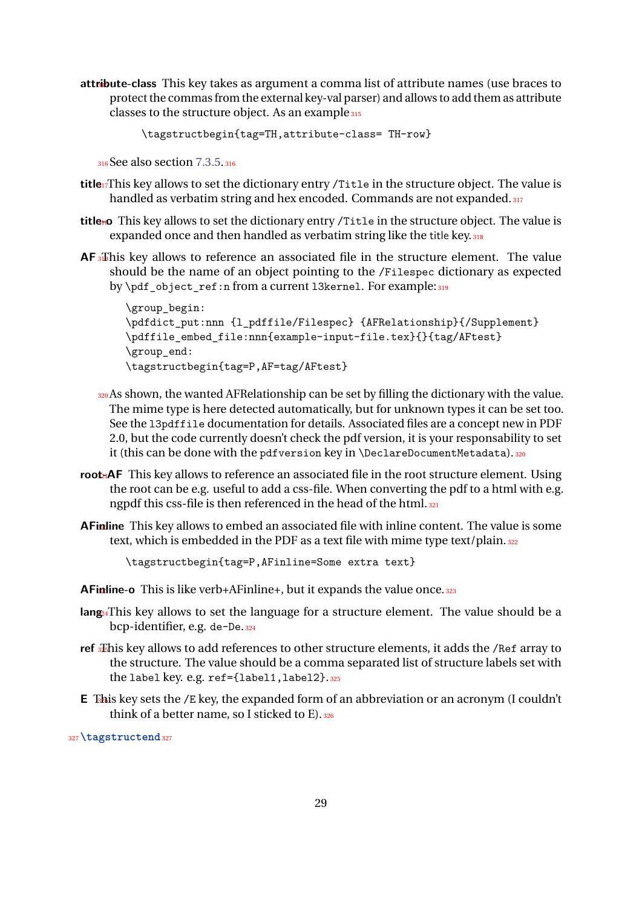attribute-class This key takes as argument a comma list of attribute names (use braces to protect the commas from the external key-val parser) and allows to add them as attribute classes to the structure object. As an example  $315$ 

```
\tagstructbegin{tag=TH,attribute-class= TH-row}
```
<sup>316</sup>See also section [7.3.5.](#page-29-1)<sup>316</sup>

- **title**<sup>1</sup>/This key allows to set the dictionary entry /Title in the structure object. The value is handled as verbatim string and hex encoded. Commands are not expanded. 317
- title<sub>to</sub> This key allows to set the dictionary entry /Title in the structure object. The value is expanded once and then handled as verbatim string like the title key. 318
- **AF**  $\overline{a}$  This key allows to reference an associated file in the structure element. The value should be the name of an object pointing to the /Filespec dictionary as expected by \pdf\_object\_ref:n from a current 13kernel. For example: 319

```
\group_begin:
\pdfdict_put:nnn {l_pdffile/Filespec} {AFRelationship}{/Supplement}
\pdffile embed file:nnn{example-input-file.tex}{}{tag/AFtest}
\group end:
\tagstructbegin{tag=P,AF=tag/AFtest}
```
- 320 As shown, the wanted AFRelationship can be set by filling the dictionary with the value. The mime type is here detected automatically, but for unknown types it can be set too. See the l3pdffile documentation for details. Associated files are a concept new in PDF 2.0, but the code currently doesn't check the pdf version, it is your responsability to set it (this can be done with the pdfversion key in \DeclareDocumentMetadata).320
- **root**-AF This key allows to reference an associated file in the root structure element. Using the root can be e.g. useful to add a css-file. When converting the pdf to a html with e.g. ngpdf this css-file is then referenced in the head of the html. 321
- **AFindine** This key allows to embed an associated file with inline content. The value is some text, which is embedded in the PDF as a text file with mime type text/plain. 322

\tagstructbegin{tag=P,AFinline=Some extra text}

**AFinline-o** This is like verb+AFinline+, but it expands the value once. 323

- lang<sub>4</sub>This key allows to set the language for a structure element. The value should be a bcp-identifier, e.g. de-De.<sup>324</sup>
- ref **325This key allows to add references to other structure elements, it adds the /Ref array to** the structure. The value should be a comma separated list of structure labels set with the label key. e.g. ref={label1,label2}.<sup>325</sup>
- **E** This key sets the /E key, the expanded form of an abbreviation or an acronym (I couldn't think of a better name, so I sticked to  $E$ ). 326

<sup>327</sup>**\tagstructend**<sup>327</sup>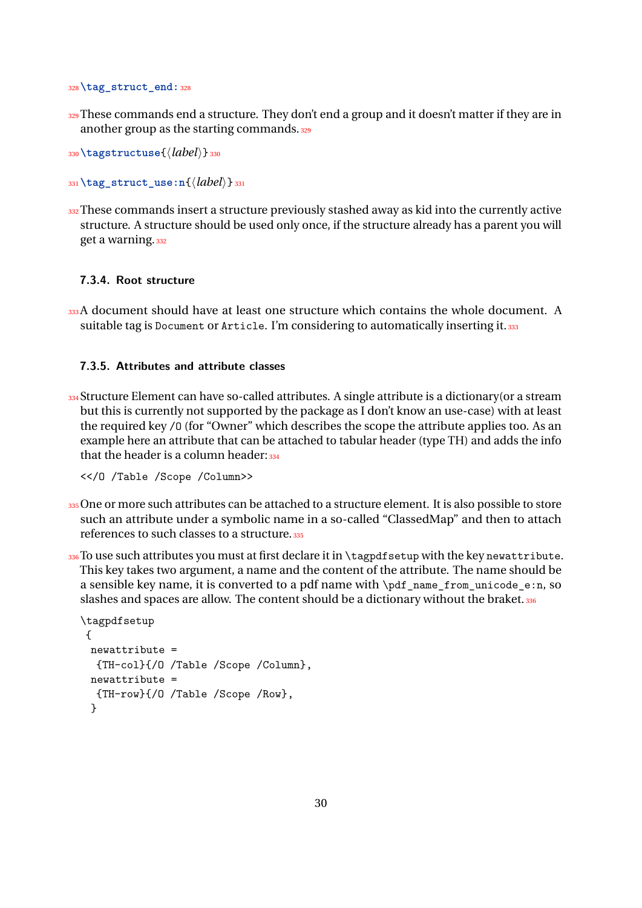<sup>328</sup>**\tag\_struct\_end:**<sup>328</sup>

 $329$  These commands end a structure. They don't end a group and it doesn't matter if they are in another group as the starting commands. 329

<sup>330</sup>**\tagstructuse**{⟨*label*⟩}<sup>330</sup>

<sup>331</sup>**\tag\_struct\_use:n**{⟨*label*⟩}<sup>331</sup>

332 These commands insert a structure previously stashed away as kid into the currently active structure. A structure should be used only once, if the structure already has a parent you will get a warning. 332

#### <span id="page-29-0"></span>**7.3.4. Root structure**

333A document should have at least one structure which contains the whole document. A suitable tag is Document or Article. I'm considering to automatically inserting it. 333

#### <span id="page-29-1"></span>**7.3.5. Attributes and attribute classes**

 $_{334}$ Structure Element can have so-called attributes. A single attribute is a dictionary(or a stream but this is currently not supported by the package as I don't know an use-case) with at least the required key /O (for "Owner" which describes the scope the attribute applies too. As an example here an attribute that can be attached to tabular header (type TH) and adds the info that the header is a column header:  $334$ 

<</O /Table /Scope /Column>>

- 335 One or more such attributes can be attached to a structure element. It is also possible to store such an attribute under a symbolic name in a so-called "ClassedMap" and then to attach references to such classes to a structure.<sup>335</sup>
- $336$  To use such attributes you must at first declare it in  $\tag{10.136}$  with the key newattribute. This key takes two argument, a name and the content of the attribute. The name should be a sensible key name, it is converted to a pdf name with \pdf\_name\_from\_unicode\_e:n, so slashes and spaces are allow. The content should be a dictionary without the braket. 336

```
\tagpdfsetup
{
 newattribute =
  {TH-col}{/O /Table /Scope /Column},
 newattribute ={TH-row}{/O /Table /Scope /Row},
 }
```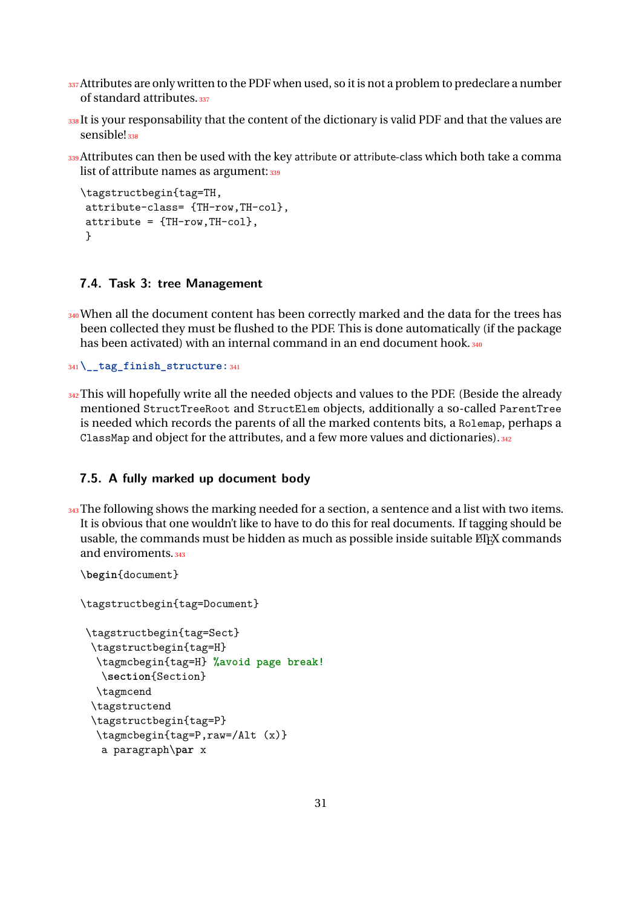- 337 Attributes are only written to the PDF when used, so it is not a problem to predeclare a number of standard attributes.<sup>337</sup>
- 338 It is your responsability that the content of the dictionary is valid PDF and that the values are sensible! 338
- 339 Attributes can then be used with the key attribute or attribute-class which both take a comma list of attribute names as argument: 339

```
\tagstructbegin{tag=TH,
attribute-class= {TH-row,TH-col},
attribute = {TH-row, TH-co1},}
```
### <span id="page-30-0"></span>**7.4. Task 3: tree Management**

340 When all the document content has been correctly marked and the data for the trees has been collected they must be flushed to the PDF. This is done automatically (if the package has been activated) with an internal command in an end document hook. 340

<sup>341</sup>**\\_\_tag\_finish\_structure:**<sup>341</sup>

 $342$  This will hopefully write all the needed objects and values to the PDF. (Beside the already mentioned StructTreeRoot and StructElem objects, additionally a so-called ParentTree is needed which records the parents of all the marked contents bits, a Rolemap, perhaps a ClassMap and object for the attributes, and a few more values and dictionaries).<sup>342</sup>

### <span id="page-30-1"></span>**7.5. A fully marked up document body**

343 The following shows the marking needed for a section, a sentence and a list with two items. It is obvious that one wouldn't like to have to do this for real documents. If tagging should be usable, the commands must be hidden as much as possible inside suitable ETFX commands and enviroments.<sup>343</sup>

```
\begin{document}
```
\tagstructbegin{tag=Document}

```
\tagstructbegin{tag=Sect}
\tagstructbegin{tag=H}
 \tagmcbegin{tag=H} %avoid page break!
  \section{Section}
 \tagmcend
\tagstructend
\tagstructbegin{tag=P}
 \tagmcbegin{tag=P,raw=/Alt (x)}
  a paragraph\par x
```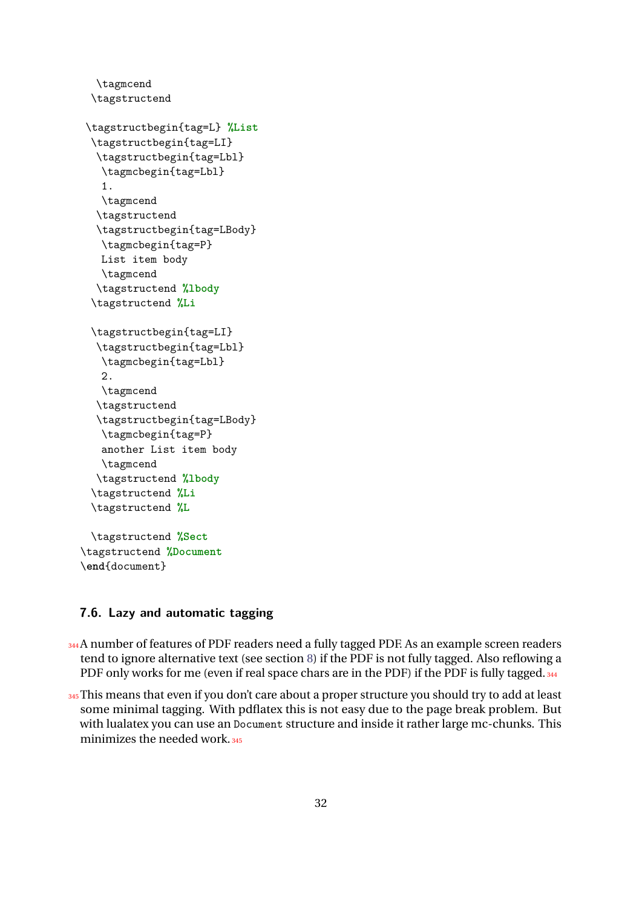```
\tagmcend
\tagstructend
```

```
\tagstructbegin{tag=L} %List
\tagstructbegin{tag=LI}
 \tagstructbegin{tag=Lbl}
  \tagmcbegin{tag=Lbl}
  1.
  \tagmcend
 \tagstructend
 \tagstructbegin{tag=LBody}
  \tagmcbegin{tag=P}
  List item body
  \tagmcend
 \tagstructend %lbody
\tagstructend %Li
\tagstructbegin{tag=LI}
 \tagstructbegin{tag=Lbl}
  \tagmcbegin{tag=Lbl}
  2.
  \tagmcend
 \tagstructend
 \tagstructbegin{tag=LBody}
  \tagmcbegin{tag=P}
  another List item body
  \tagmcend
 \tagstructend %lbody
\tagstructend %Li
\tagstructend %L
```
\tagstructend **%Sect** \tagstructend **%Document** \**end**{document}

### <span id="page-31-0"></span>**7.6. Lazy and automatic tagging**

- $_{344}$ A number of features of PDF readers need a fully tagged PDF. As an example screen readers tend to ignore alternative text (see section [8\)](#page-32-1) if the PDF is not fully tagged. Also reflowing a PDF only works for me (even if real space chars are in the PDF) if the PDF is fully tagged. 344
- 345 This means that even if you don't care about a proper structure you should try to add at least some minimal tagging. With pdflatex this is not easy due to the page break problem. But with lualatex you can use an Document structure and inside it rather large mc-chunks. This minimizes the needed work.<sup>345</sup>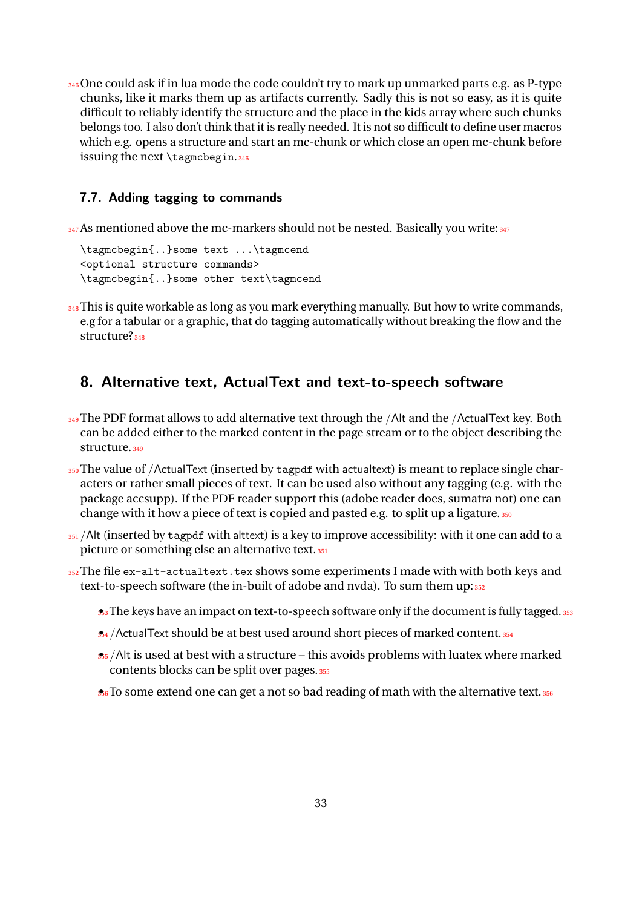346 One could ask if in lua mode the code couldn't try to mark up unmarked parts e.g. as P-type chunks, like it marks them up as artifacts currently. Sadly this is not so easy, as it is quite difficult to reliably identify the structure and the place in the kids array where such chunks belongs too. I also don't think that it is really needed. It is not so difficult to define user macros which e.g. opens a structure and start an mc-chunk or which close an open mc-chunk before issuing the next \tagmcbegin.<sup>346</sup>

### <span id="page-32-0"></span>**7.7. Adding tagging to commands**

347 As mentioned above the mc-markers should not be nested. Basically you write: 347

\tagmcbegin{..}some text ...\tagmcend <optional structure commands> \tagmcbegin{..}some other text\tagmcend

348 This is quite workable as long as you mark everything manually. But how to write commands, e.g for a tabular or a graphic, that do tagging automatically without breaking the flow and the structure?<sub>348</sub>

### <span id="page-32-1"></span>**8. Alternative text, ActualText and text-to-speech software**

- 349 The PDF format allows to add alternative text through the /Alt and the /ActualText key. Both can be added either to the marked content in the page stream or to the object describing the structure.<sub>349</sub>
- $350$  The value of /ActualText (inserted by tagpdf with actualtext) is meant to replace single characters or rather small pieces of text. It can be used also without any tagging (e.g. with the package accsupp). If the PDF reader support this (adobe reader does, sumatra not) one can change with it how a piece of text is copied and pasted e.g. to split up a ligature. 350
- $351$ /Alt (inserted by tagpdf with alttext) is a key to improve accessibility: with it one can add to a picture or something else an alternative text. 351
- 352 The file ex-alt-actualtext.tex shows some experiments I made with with both keys and text-to-speech software (the in-built of adobe and nvda). To sum them up: 352
	- **3**3 The keys have an impact on text-to-speech software only if the document is fully tagged. 353
	- \$4 / Actual Text should be at best used around short pieces of marked content. 354
	- $\frac{1}{355}$ /Alt is used at best with a structure this avoids problems with luatex where marked contents blocks can be split over pages.<sup>355</sup>
	- **36**<sup>6</sup> To some extend one can get a not so bad reading of math with the alternative text. 356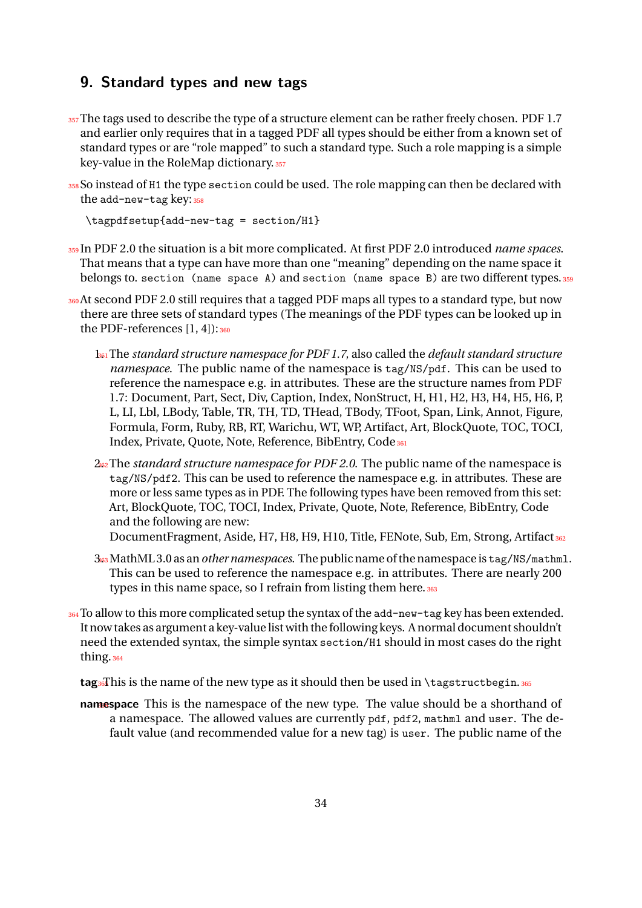## <span id="page-33-0"></span>**9. Standard types and new tags**

- 357 The tags used to describe the type of a structure element can be rather freely chosen. PDF 1.7 and earlier only requires that in a tagged PDF all types should be either from a known set of standard types or are "role mapped" to such a standard type. Such a role mapping is a simple key-value in the RoleMap dictionary. 357
- 358 So instead of H1 the type section could be used. The role mapping can then be declared with the  $add-new-tag$  key:  $358$

\tagpdfsetup{add-new-tag = section/H1}

- <sup>359</sup>In PDF 2.0 the situation is a bit more complicated. At first PDF 2.0 introduced *name spaces*. That means that a type can have more than one "meaning" depending on the name space it belongs to. section (name space A) and section (name space B) are two different types. 359
- 360 At second PDF 2.0 still requires that a tagged PDF maps all types to a standard type, but now there are three sets of standard types (The meanings of the PDF types can be looked up in the PDF-references  $[1, 4]$ : 360
	- 1.361 The *standard structure namespace for PDF 1.7*, also called the *default standard structure namespace*. The public name of the namespace is tag/NS/pdf. This can be used to reference the namespace e.g. in attributes. These are the structure names from PDF 1.7: Document, Part, Sect, Div, Caption, Index, NonStruct, H, H1, H2, H3, H4, H5, H6, P, L, LI, Lbl, LBody, Table, TR, TH, TD, THead, TBody, TFoot, Span, Link, Annot, Figure, Formula, Form, Ruby, RB, RT, Warichu, WT, WP, Artifact, Art, BlockQuote, TOC, TOCI, Index, Private, Quote, Note, Reference, BibEntry, Code 361
	- 2.362 The *standard structure namespace for PDF 2.0*. The public name of the namespace is tag/NS/pdf2. This can be used to reference the namespace e.g. in attributes. These are more or less same types as in PDF. The following types have been removed from this set: Art, BlockQuote, TOC, TOCI, Index, Private, Quote, Note, Reference, BibEntry, Code and the following are new: DocumentFragment, Aside, H7, H8, H9, H10, Title, FENote, Sub, Em, Strong, Artifact 362
	- 3.363 MathML 3.0 as an*othernamespaces*. The publicname ofthenamespace is tag/NS/mathml. This can be used to reference the namespace e.g. in attributes. There are nearly 200
- types in this name space, so I refrain from listing them here. 363 364 To allow to this more complicated setup the syntax of the add-new-tag key has been extended. It now takes as argument a key-value list with the following keys. A normal document shouldn't
- need the extended syntax, the simple syntax section/H1 should in most cases do the right thing.<sup>364</sup>

 $tags this is the name of the new type as it should then be used in \tag{tagstructbegin.365} tags.$ 

**namespace** This is the namespace of the new type. The value should be a shorthand of a namespace. The allowed values are currently pdf, pdf2, mathml and user. The default value (and recommended value for a new tag) is user. The public name of the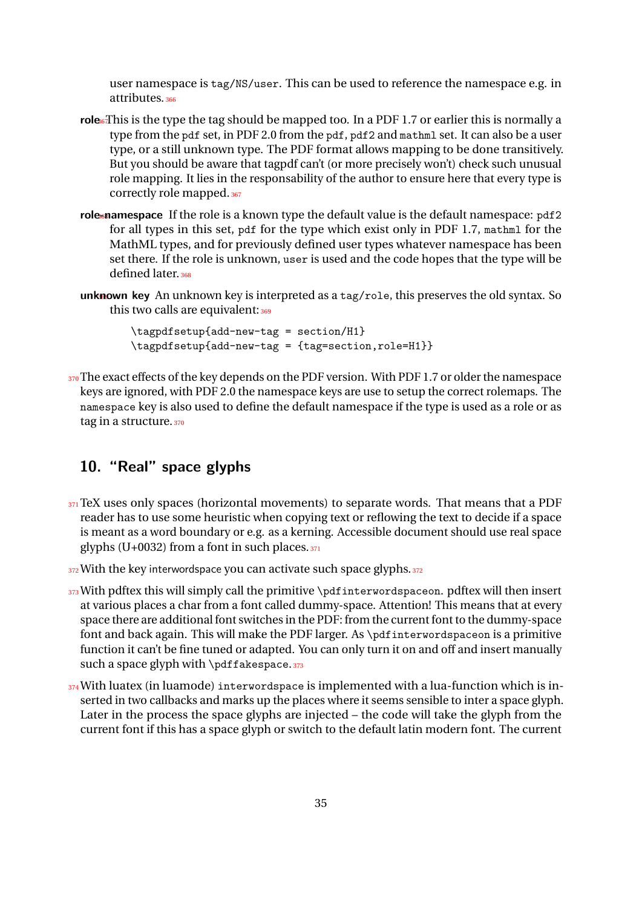user namespace is tag/NS/user. This can be used to reference the namespace e.g. in attributes.<sup>366</sup>

- role<sup>6</sup>This is the type the tag should be mapped too. In a PDF 1.7 or earlier this is normally a type from the pdf set, in PDF 2.0 from the pdf, pdf2 and mathml set. It can also be a user type, or a still unknown type. The PDF format allows mapping to be done transitively. But you should be aware that tagpdf can't (or more precisely won't) check such unusual role mapping. It lies in the responsability of the author to ensure here that every type is correctly role mapped. 367
- role-namespace If the role is a known type the default value is the default namespace: pdf2 for all types in this set, pdf for the type which exist only in PDF 1.7, mathml for the MathML types, and for previously defined user types whatever namespace has been set there. If the role is unknown, user is used and the code hopes that the type will be defined later.<sup>368</sup>
- unknown key An unknown key is interpreted as a tag/role, this preserves the old syntax. So this two calls are equivalent: 369

\tagpdfsetup{add-new-tag = section/H1} \tagpdfsetup{add-new-tag = {tag=section,role=H1}}

370 The exact effects of the key depends on the PDF version. With PDF 1.7 or older the namespace keys are ignored, with PDF 2.0 the namespace keys are use to setup the correct rolemaps. The namespace key is also used to define the default namespace if the type is used as a role or as tag in a structure. 370

## <span id="page-34-0"></span>**10. " Real" space glyphs**

- $371$  TeX uses only spaces (horizontal movements) to separate words. That means that a PDF reader has to use some heuristic when copying text or reflowing the text to decide if a space is meant as a word boundary or e.g. as a kerning. Accessible document should use real space glyphs (U+0032) from a font in such places. $371$
- $372$  With the key interwordspace you can activate such space glyphs.  $372$
- 373 With pdftex this will simply call the primitive \pdfinterwordspaceon. pdftex will then insert at various places a char from a font called dummy-space. Attention! This means that at every space there are additional font switches in the PDF: from the current font to the dummy-space font and back again. This will make the PDF larger. As \pdfinterwordspaceon is a primitive function it can't be fine tuned or adapted. You can only turn it on and off and insert manually such a space glyph with  $\pdf$ akespace.373
- 374 With luatex (in luamode) interwordspace is implemented with a lua-function which is inserted in two callbacks and marks up the places where it seems sensible to inter a space glyph. Later in the process the space glyphs are injected – the code will take the glyph from the current font if this has a space glyph or switch to the default latin modern font. The current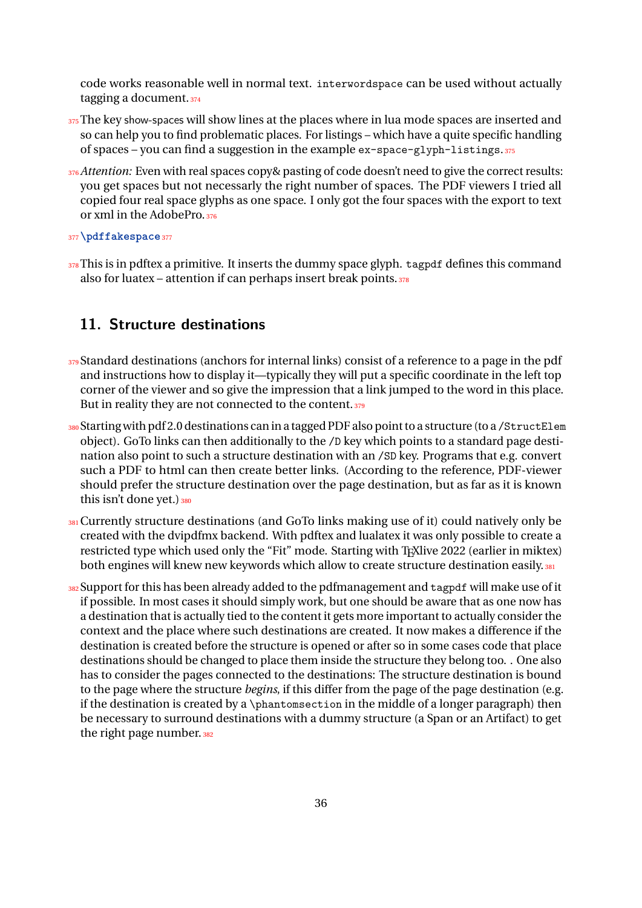code works reasonable well in normal text. interwordspace can be used without actually tagging a document.<sup>374</sup>

- 375 The key show-spaces will show lines at the places where in lua mode spaces are inserted and so can help you to find problematic places. For listings – which have a quite specific handling of spaces – you can find a suggestion in the example ex-space-glyph-listings.<sup>375</sup>
- 376 *Attention*: Even with real spaces copy & pasting of code doesn't need to give the correct results: you get spaces but not necessarly the right number of spaces. The PDF viewers I tried all copied four real space glyphs as one space. I only got the four spaces with the export to text or xml in the AdobePro.<sup>376</sup>
- <sup>377</sup>**\pdffakespace**<sup>377</sup>
- 378 This is in pdftex a primitive. It inserts the dummy space glyph. tagpdf defines this command also for luatex – attention if can perhaps insert break points. $378$

## <span id="page-35-0"></span>**11. Structure destinations**

- $379$ Standard destinations (anchors for internal links) consist of a reference to a page in the pdf and instructions how to display it—typically they will put a specific coordinate in the left top corner of the viewer and so give the impression that a link jumped to the word in this place. But in reality they are not connected to the content. 379
- 380 Starting with pdf 2.0 destinations can in a tagged PDF also point to a structure (to a /StructElem object). GoTo links can then additionally to the /D key which points to a standard page destination also point to such a structure destination with an /SD key. Programs that e.g. convert such a PDF to html can then create better links. (According to the reference, PDF-viewer should prefer the structure destination over the page destination, but as far as it is known this isn't done yet.) 380
- 381 Currently structure destinations (and GoTo links making use of it) could natively only be created with the dvipdfmx backend. With pdftex and lualatex it was only possible to create a restricted type which used only the "Fit" mode. Starting with T<sub>E</sub>Xlive 2022 (earlier in miktex) both engines will knew new keywords which allow to create structure destination easily. 381
- 382 Support for this has been already added to the pdfmanagement and tagpdf will make use of it if possible. In most cases it should simply work, but one should be aware that as one now has a destination that is actually tied to the content it gets more important to actually consider the context and the place where such destinations are created. It now makes a difference if the destination is created before the structure is opened or after so in some cases code that place destinations should be changed to place them inside the structure they belong too. . One also has to consider the pages connected to the destinations: The structure destination is bound to the page where the structure *begins*, if this differ from the page of the page destination (e.g. if the destination is created by a \phantomsection in the middle of a longer paragraph) then be necessary to surround destinations with a dummy structure (a Span or an Artifact) to get the right page number. 382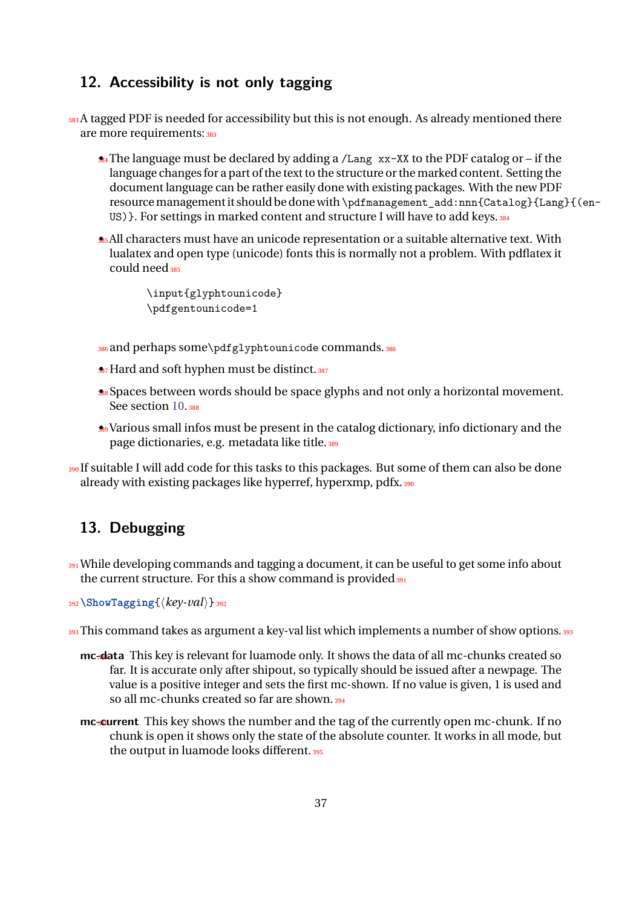## <span id="page-36-0"></span>**12. Accessibility is not only tagging**

```
383 A tagged PDF is needed for accessibility but this is not enough. As already mentioned there
  are more requirements: 383
```
- **34** The language must be declared by adding a /Lang xx-XX to the PDF catalog or if the language changes for a part of the text to the structure or the marked content. Setting the document language can be rather easily done with existing packages. With the new PDF resource management it should be done with \pdfmanagement\_add:nnn{Catalog}{Lang}{(en-US) }. For settings in marked content and structure I will have to add keys. 384
- <sup>385</sup> All characters must have an unicode representation or a suitable alternative text. With lualatex and open type (unicode) fonts this is normally not a problem. With pdflatex it could need 385

```
 \input{glyphtounicode}
 \pdfgentounicode=1
```
- 386 and perhaps some\pdfglyphtounicode commands. 386
- **387** Hard and soft hyphen must be distinct. 387
- **388** Spaces between words should be space glyphs and not only a horizontal movement. See section [10.](#page-34-0)388
- <sup>389</sup> Various small infos must be present in the catalog dictionary, info dictionary and the page dictionaries, e.g. metadata like title. 389
- <sup>390</sup>If suitable I will add code for this tasks to this packages. But some of them can also be done already with existing packages like hyperref, hyperxmp, pdfx.<sup>390</sup>

## <span id="page-36-1"></span>**13. Debugging**

- 391 While developing commands and tagging a document, it can be useful to get some info about the current structure. For this a show command is provided 391
- <sup>392</sup>**\ShowTagging**{⟨*key-val*⟩}<sup>392</sup>
- 393 This command takes as argument a key-val list which implements a number of show options. 393
	- **mc-data** This key is relevant for luamode only. It shows the data of all mc-chunks created so far. It is accurate only after shipout, so typically should be issued after a newpage. The value is a positive integer and sets the first mc-shown. If no value is given, 1 is used and so all mc-chunks created so far are shown.<sup>394</sup>
	- **mc-current** This key shows the number and the tag of the currently open mc-chunk. If no chunk is open it shows only the state of the absolute counter. It works in all mode, but the output in luamode looks different. 395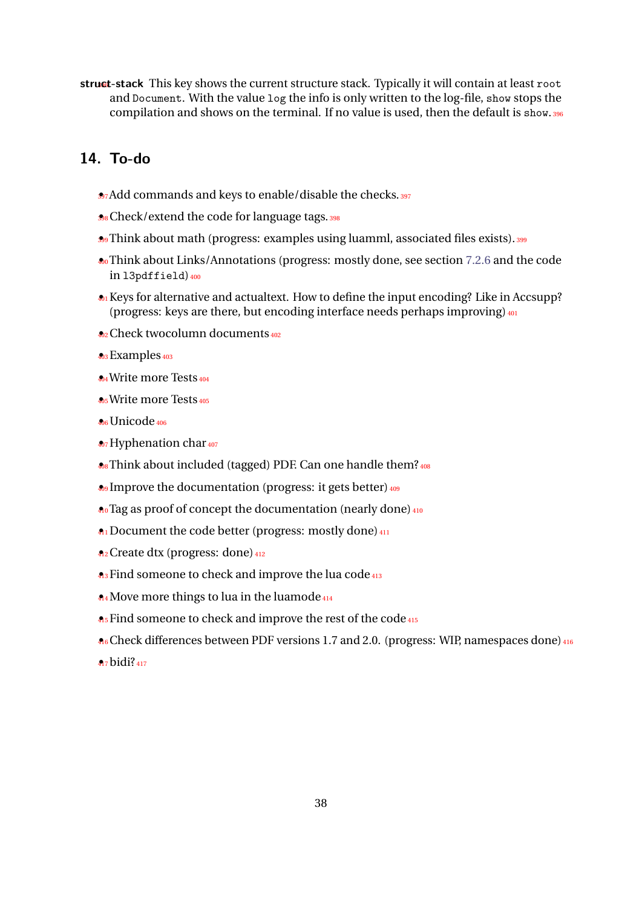struct-stack This key shows the current structure stack. Typically it will contain at least root and Document. With the value log the info is only written to the log-file, show stops the compilation and shows on the terminal. If no value is used, then the default is show.<sup>396</sup>

## <span id="page-37-0"></span>**14. To-do**

- **3**7Add commands and keys to enable/disable the checks. 397
- **398** Check/extend the code for language tags. 398
- **399** Think about math (progress: examples using luamml, associated files exists). 399
- <sup>400</sup> Think about Links/Annotations (progress: mostly done, see section [7.2.6](#page-22-0) and the code in l3pdffield) 400
- $\triangle$ <sup>1</sup> Keys for alternative and actualtext. How to define the input encoding? Like in Accsupp? (progress: keys are there, but encoding interface needs perhaps improving)  $401$
- <sup>402</sup> Check twocolumn documents<sup>402</sup>
- 403 Examples<sub>403</sub>
- <sup>404</sup> Write more Tests<sup>404</sup>
- **A<sub>5</sub>Write more Tests<sub>405</sub>**
- <sup>406</sup> Unicode<sup>406</sup>
- **407** Hyphenation char 407
- **A**<sub>8</sub> Think about included (tagged) PDF. Can one handle them? 408
- **A**<sub>9</sub> Improve the documentation (progress: it gets better)  $\frac{409}{409}$
- **4**<sup>0</sup> Tag as proof of concept the documentation (nearly done)  $410$
- **4**<sup>1</sup> Document the code better (progress: mostly done) <sup>411</sup>
- <sup>412</sup> Create dtx (progress: done)<sup>412</sup>
- **A**<sub>3</sub> Find someone to check and improve the lua code<sup>413</sup>
- **A4** Move more things to lua in the luamode<sup>414</sup>
- **A**<sub>5</sub> Find someone to check and improve the rest of the code<sup>415</sup>
- **A**<sub>6</sub> Check differences between PDF versions 1.7 and 2.0. (progress: WIP, namespaces done)  $416$
- 417 **bidi**?<sub>417</sub>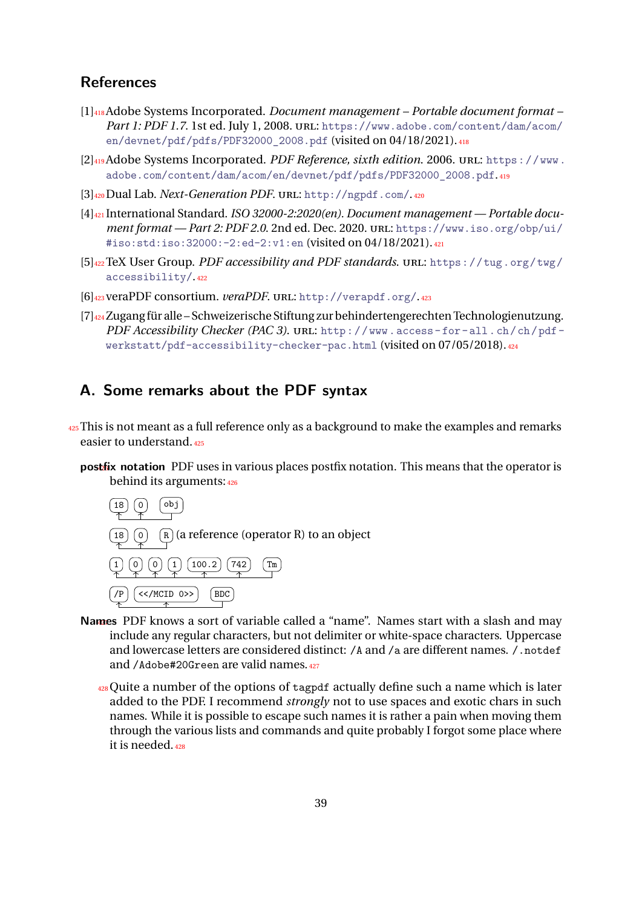## <span id="page-38-0"></span>**References**

- [1]418 Adobe Systems Incorporated. *Document management – Portable document format – Part 1: PDF 1.7*. 1st ed. July 1, 2008. URL: [https://www.adobe.com/content/dam/acom/](https://www.adobe.com/content/dam/acom/en/devnet/pdf/pdfs/PDF32000_2008.pdf) [en/devnet/pdf/pdfs/PDF32000\\_2008.pdf](https://www.adobe.com/content/dam/acom/en/devnet/pdf/pdfs/PDF32000_2008.pdf) (visited on 04/18/2021).418
- [2]419 Adobe Systems Incorporated. *PDF Reference, sixth edition*. 2006. URL: [https://www.](https://www.adobe.com/content/dam/acom/en/devnet/pdf/pdfs/PDF32000_2008.pdf) [adobe.com/content/dam/acom/en/devnet/pdf/pdfs/PDF32000\\_2008.pdf](https://www.adobe.com/content/dam/acom/en/devnet/pdf/pdfs/PDF32000_2008.pdf).419
- [3]420 Dual Lab. *Next-Generation PDF*. URL: <http://ngpdf.com/>.<sup>420</sup>
- [4]421 International Standard. *ISO 32000-2:2020(en). Document management — Portable document format — Part 2: PDF 2.0*. 2nd ed. Dec. 2020. URL: [https://www.iso.org/obp/ui/](https://www.iso.org/obp/ui/#iso:std:iso:32000:-2:ed-2:v1:en) [#iso:std:iso:32000:-2:ed-2:v1:en](https://www.iso.org/obp/ui/#iso:std:iso:32000:-2:ed-2:v1:en) (visited on 04/18/2021).<sup>421</sup>
- [5]422 TeX User Group. *PDF accessibility and PDF standards*. URL: [https://tug.org/twg/](https://tug.org/twg/accessibility/) [accessibility/](https://tug.org/twg/accessibility/).<sup>422</sup>
- [6]423 veraPDF consortium. *veraPDF*. URL: <http://verapdf.org/>.<sup>423</sup>
- [7]424 Zugang für alle Schweizerische Stiftung zur behindertengerechten Technologienutzung. *PDF Accessibility Checker (PAC 3)*. URL: [http : / / www . access - for - all . ch / ch / pdf](http://www.access-for-all.ch/ch/pdf-werkstatt/pdf-accessibility-checker-pac.html)  [werkstatt/pdf-accessibility-checker-pac.html](http://www.access-for-all.ch/ch/pdf-werkstatt/pdf-accessibility-checker-pac.html) (visited on 07/05/2018).<sup>424</sup>

### <span id="page-38-1"></span>**A. Some remarks about the PDF syntax**

- $425$  This is not meant as a full reference only as a background to make the examples and remarks easier to understand.<sup>425</sup>
	- **postlix notation** PDF uses in various places postfix notation. This means that the operator is behind its arguments:<sup>426</sup>



- Names PDF knows a sort of variable called a "name". Names start with a slash and may include any regular characters, but not delimiter or white-space characters. Uppercase and lowercase letters are considered distinct: /A and /a are different names. /.notdef and /Adobe#20Green are valid names. 427
	- <sup>428</sup>Quite a number of the options of tagpdf actually define such a name which is later added to the PDF. I recommend *strongly* not to use spaces and exotic chars in such names. While it is possible to escape such names it is rather a pain when moving them through the various lists and commands and quite probably I forgot some place where it is needed.<sup>428</sup>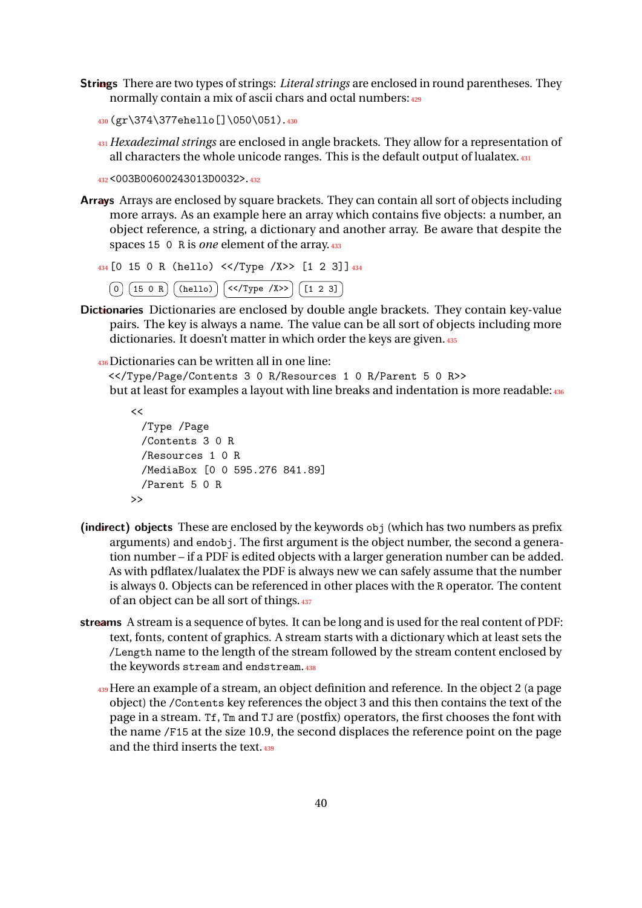**Strings** There are two types of strings: *Literal strings* are enclosed in round parentheses. They normally contain a mix of ascii chars and octal numbers: 429

```
430(gr\374\377ehello[]\050\051).430
```
<sup>431</sup>*Hexadezimal strings* are enclosed in angle brackets. They allow for a representation of all characters the whole unicode ranges. This is the default output of lualatex.<sup>431</sup>

<sup>432</sup><003B00600243013D0032>.<sup>432</sup>

Arrays Arrays are enclosed by square brackets. They can contain all sort of objects including more arrays. As an example here an array which contains five objects: a number, an object reference, a string, a dictionary and another array. Be aware that despite the spaces 15 0 R is *one* element of the array. 433

```
434[0 15 0 R (hello) <</Type /X>> [1 2 3]]434
  [0] (15 0 R) (0) (16 110) (< (17) Y (12 3)
```
- Dictionaries Dictionaries are enclosed by double angle brackets. They contain key-value pairs. The key is always a name. The value can be all sort of objects including more dictionaries. It doesn't matter in which order the keys are given. 435
	- <sup>436</sup>Dictionaries can be written all in one line:

<</Type/Page/Contents 3 0 R/Resources 1 0 R/Parent 5 0 R>> but at least for examples a layout with line breaks and indentation is more readable: 436

```
<</Type /Page
 /Contents 3 0 R
 /Resources 1 0 R
 /MediaBox [0 0 595.276 841.89]
 /Parent 5 0 R
>>
```
- (indirect) objects These are enclosed by the keywords obj (which has two numbers as prefix arguments) and endobj. The first argument is the object number, the second a generation number – if a PDF is edited objects with a larger generation number can be added. As with pdflatex/lualatex the PDF is always new we can safely assume that the number is always 0. Objects can be referenced in other places with the R operator. The content of an object can be all sort of things.<sup>437</sup>
- streams A stream is a sequence of bytes. It can be long and is used for the real content of PDF: text, fonts, content of graphics. A stream starts with a dictionary which at least sets the /Length name to the length of the stream followed by the stream content enclosed by the keywords stream and endstream.<sup>438</sup>
	- <sup>439</sup>Here an example of a stream, an object definition and reference. In the object 2 (a page object) the /Contents key references the object 3 and this then contains the text of the page in a stream. Tf, Tm and TJ are (postfix) operators, the first chooses the font with the name /F15 at the size 10.9, the second displaces the reference point on the page and the third inserts the text.<sup>439</sup>